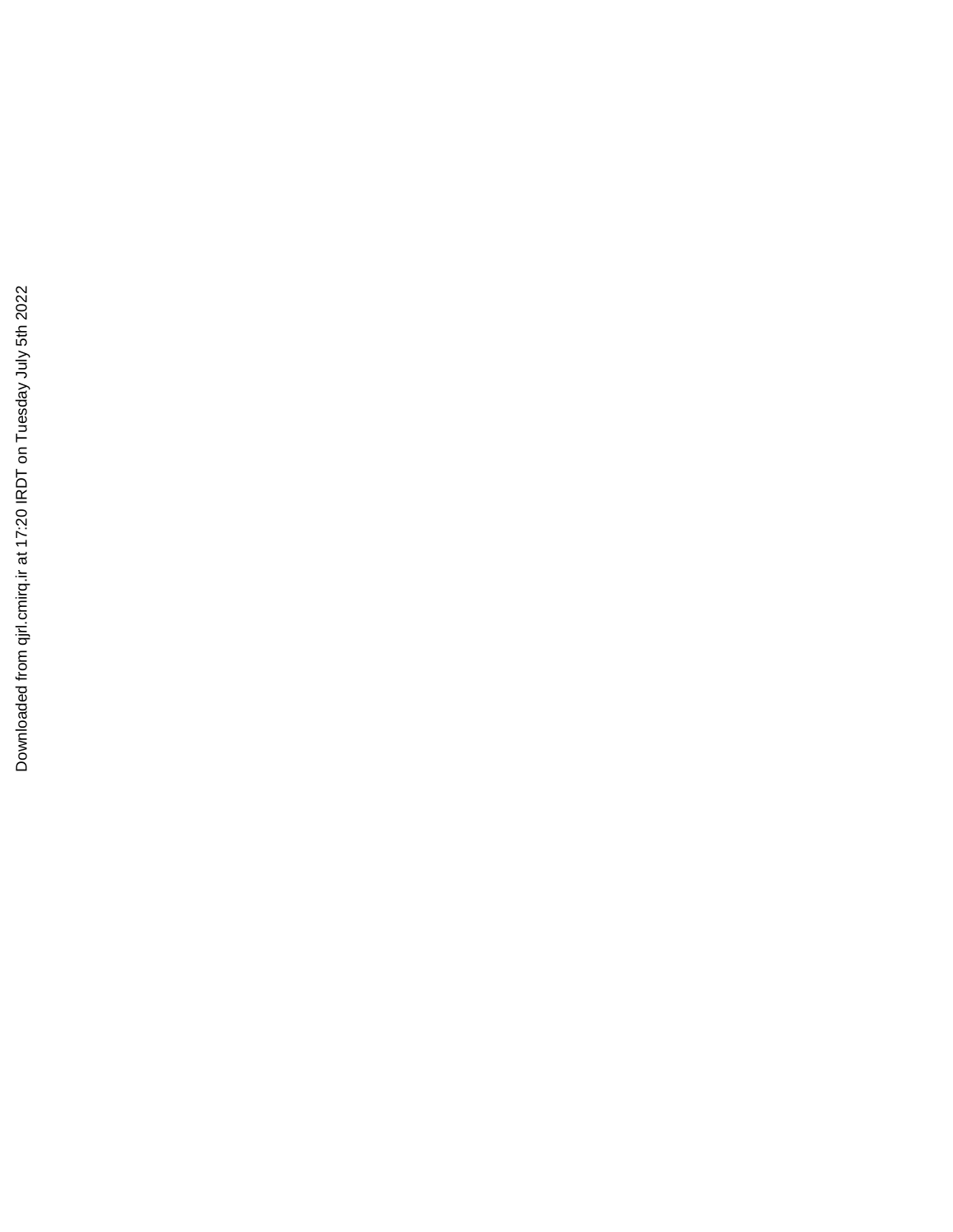Downloaded from qjrl.cmirq.ir at 17:20 IRDT on Tuesday July 5th 2022 [Downloaded from qjrl.cmirq.ir at 17:20 IRDT on Tuesday July 5th 2022](http://2.188.15.35/article-1-74-en.html)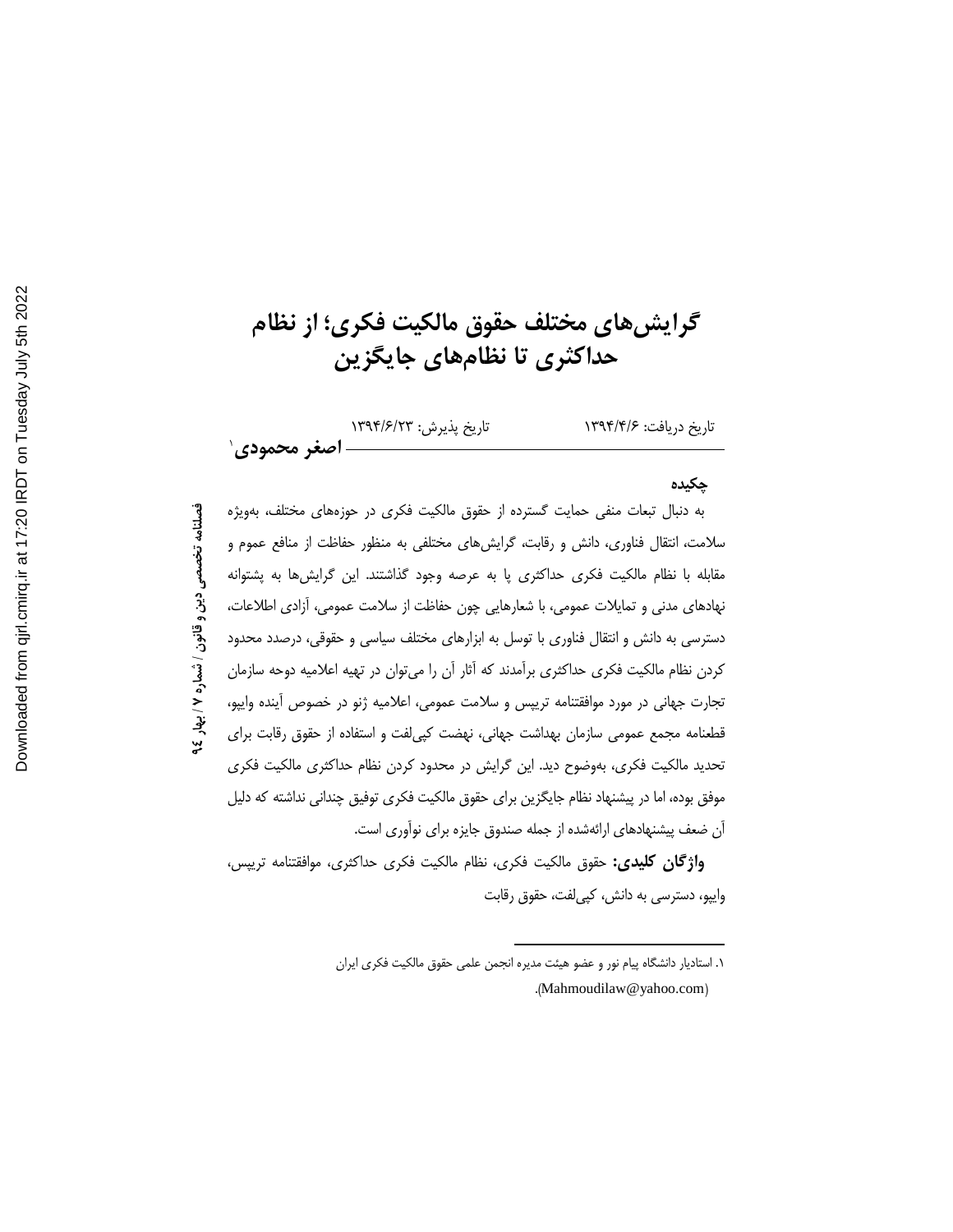# گرایش های مختلف حقوق مالکیت فکری؛ از نظام حداکثری تا نظامهای جایگزین

تاريخ دريافت: ١٣٩۴/٤/ تاريخ پذيرش: ١٣٩۴/۶/٢٣ - اصغر محمودی`

## حكىدە

به دنبال تبعات منفی حمایت گسترده از حقوق مالکیت فکری در حوزههای مختلف، بهویژه سلامت، انتقال فناوري، دانش و رقابت، گرايشهاي مختلفي به منظور حفاظت از منافع عموم و مقابله با نظام مالکیت فکری حداکثری یا به عرصه وجود گذاشتند. این گرایش ها به پشتوانه نهادهای مدنی و تمایلات عمومی، با شعارهایی چون حفاظت از سلامت عمومی، آزادی اطلاعات، دسترسی به دانش و انتقال فناوری با توسل به ابزارهای مختلف سیاسی و حقوقی، درصدد محدود کردن نظام مالکیت فکری حداکثری برآمدند که آثار آن را می¤وان در تهیه اعلامیه دوحه سازمان تجارت جهانی در مورد موافقتنامه ترییس و سلامت عمومی، اعلامیه ژنو در خصوص آینده واییو، قطعنامه مجمع عمومی سازمان بهداشت جهانی، نهضت کپی لفت و استفاده از حقوق رقابت برای تحدید مالکیت فکری، بهوضوح دید. این گرایش در محدود کردن نظام حداکثری مالکیت فکری موفق بوده، اما در پیشنهاد نظام جایگزین برای حقوق مالکیت فکری توفیق چندانی نداشته که دلیل آن ضعف پیشنهادهای ارائهشده از جمله صندوق جایزه برای نوآوری است.

**واژگان كليدى:** حقوق مالكيت فكرى، نظام مالكيت فكرى حداكثرى، موافقتنامه تريپس، وايپو، دسترسي به دانش، کپي(فت، حقوق رقابت

> ١. استاديار دانشگاه پيام نور و عضو هيئت مديره انجمن علمي حقوق مالكيت فكرى ايران .(Mahmoudilaw@yahoo.com)

فصلنامه تخصصی دین و قانون / شماره ۷ / بهار ۱۶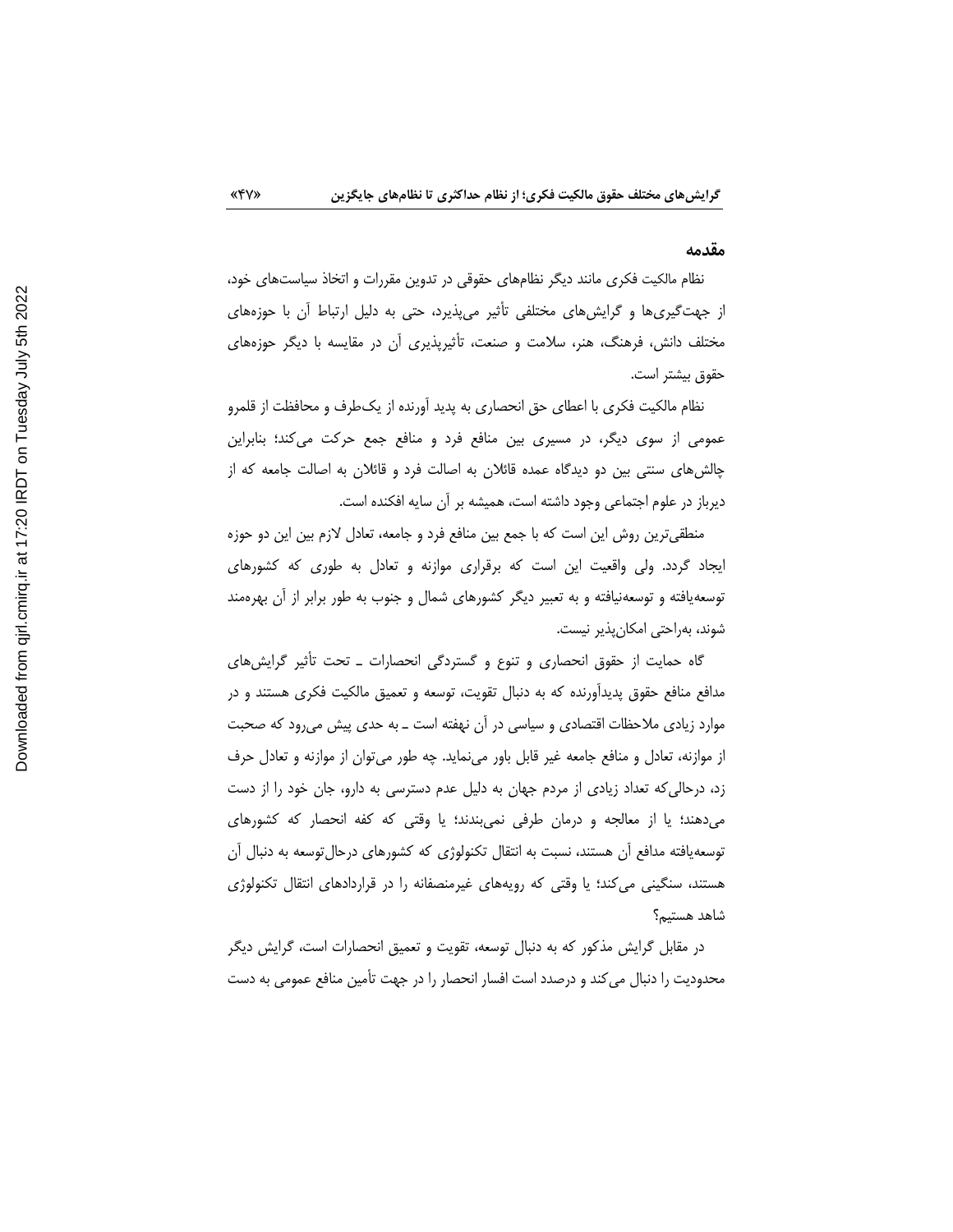#### مقدمه

نظام مالکیت فکری مانند دیگر نظامهای حقوقی در تدوین مقررات و اتخاذ سیاستهای خود، از جهتگیریها و گرایشهای مختلفی تأثیر میپذیرد، حتی به دلیل ارتباط آن با حوزههای مختلف دانش، فرهنگ، هنر، سلامت و صنعت، تأثیرپذیری آن در مقایسه با دیگر حوزههای حقوق بيشتر است.

نظام مالكيت فكرى با اعطاى حق انحصارى به پديد آورنده از يك<code>طرف</code> و محافظت از قلمرو عمومی از سوی دیگر، در مسیری بین منافع فرد و منافع جمع حرکت میکند؛ بنابراین چالش های سنتی بین دو دیدگاه عمده قائلان به اصالت فرد و قائلان به اصالت جامعه که از دیرباز در علوم اجتماعی وجود داشته است، همیشه بر آن سایه افکنده است.

منطقیترین روش این است که با جمع بین منافع فرد و جامعه، تعادل لازم بین این دو حوزه ایجاد گردد. ولی واقعیت این است که برقراری موازنه و تعادل به طوری که کشورهای توسعه یافته و توسعه نیافته و به تعبیر دیگر کشورهای شمال و جنوب به طور برابر از آن بهرهمند شوند، بەراحتى امكان پذير نيست.

گاه حمایت از حقوق انحصاری و تنوع و گستردگی انحصارات ـ تحت تأثیر گرایش های مدافع منافع حقوق پدیدآورنده که به دنبال تقویت، توسعه و تعمیق مالکیت فکری هستند و در موارد زیادی ملاحظات اقتصادی و سیاسی در آن نهفته است ـ به حدی پیش می رود که صحبت از موازنه، تعادل و منافع جامعه غیر قابل باور مینماید. چه طور می توان از موازنه و تعادل حرف زد، درحالی که تعداد زیادی از مردم جهان به دلیل عدم دسترسی به دارو، جان خود را از دست می دهند؛ یا از معالجه و درمان طرفی نمی بندند؛ یا وقتی که کفه انحصار که کشورهای توسعه یافته مدافع آن هستند، نسبت به انتقال تکنولوژی که کشورهای درحال توسعه به دنبال آن هستند، سنگینی می کند؛ یا وقتی که رویههای غیرمنصفانه را در قراردادهای انتقال تکنولوژی شاهد هستیم؟

در مقابل گرایش مذکور که به دنبال توسعه، تقویت و تعمیق انحصارات است، گرایش دیگر محدودیت را دنبال می کند و درصدد است افسار انحصار را در جهت تأمین منافع عمومی به دست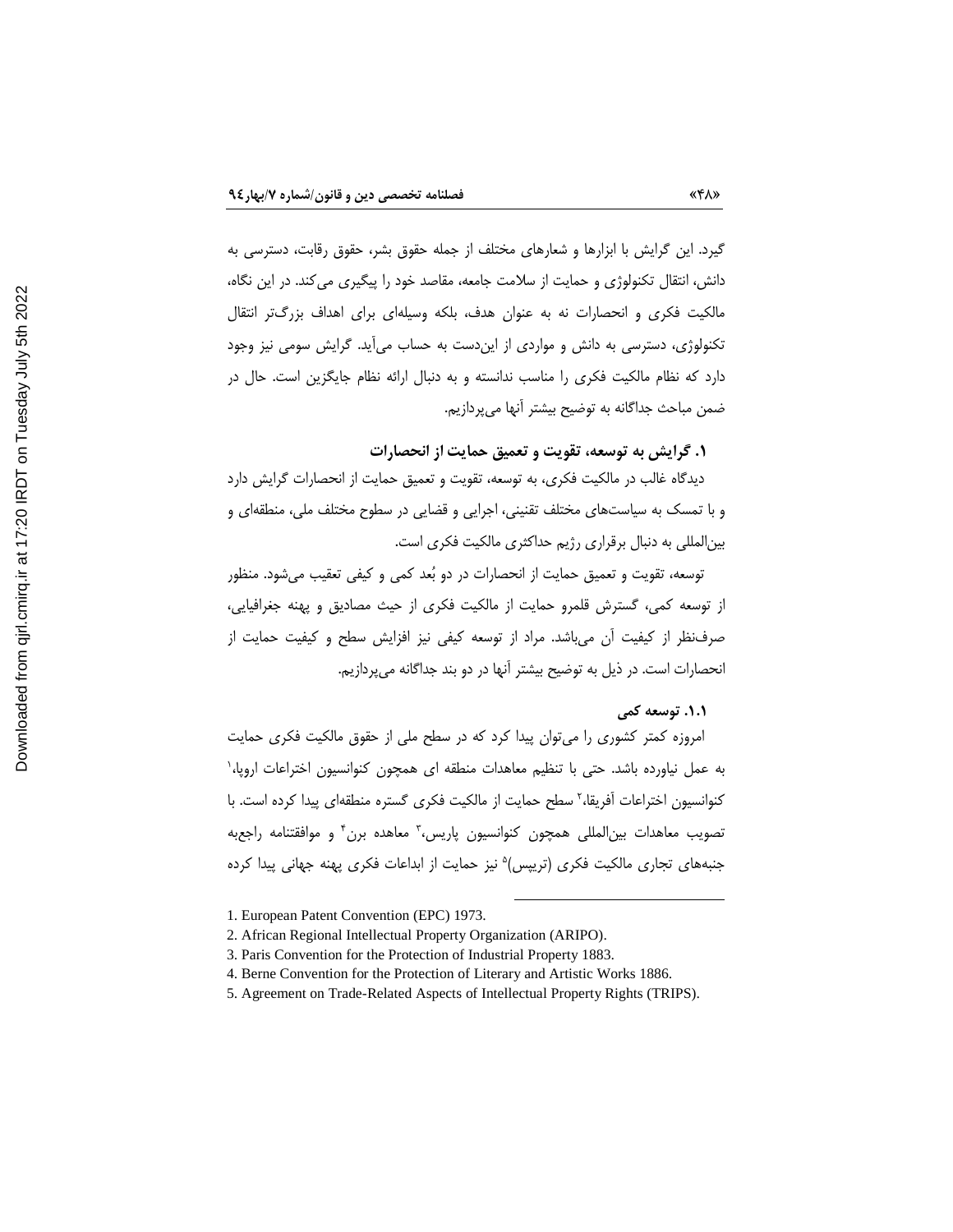گیرد. این گرایش با ابزارها و شعارهای مختلف از جمله حقوق بشر، حقوق رقابت، دسترسی به دانش، انتقال تکنولوژی و حمایت از سلامت جامعه، مقاصد خود را پیگیری می کند. در این نگاه، مالکیت فکری و انحصارات نه به عنوان هدف، بلکه وسیلهای برای اهداف بزرگتر انتقال تکنولوژی، دسترسی به دانش و مواردی از این دست به حساب می آید. گرایش سومی نیز وجود دارد که نظام مالکیت فکری را مناسب ندانسته و به دنبال ارائه نظام جایگزین است. حال در ضمن مباحث جداگانه به توضیح بیشتر آنها میپردازیم.

۱. گرایش به توسعه، تقویت و تعمیق حمایت از انحصارات

دیدگاه غالب در مالکیت فکری، به توسعه، تقویت و تعمیق حمایت از انحصارات گرایش دارد و با تمسک به سیاستهای مختلف تقنینی، اجرایی و قضایی در سطوح مختلف ملی، منطقهای و بین|لمللی به دنبال برقراری رژیم حداکثری مالکیت فکری است.

توسعه، تقويت و تعميق حمايت از انحصارات در دو بُعد كمي و كيفي تعقيب مي شود. منظور از توسعه کمی، گسترش قلمرو حمایت از مالکیت فکری از حیث مصادیق و پهنه جغرافیایی، صرفنظر از کیفیت آن میباشد. مراد از توسعه کیفی نیز افزایش سطح و کیفیت حمایت از انحصارات است. در ذیل به توضیح بیشتر آنها در دو بند جداگانه میپردازیم.

#### ۰۱.۱ توسعه کمی

امروزه کمتر کشوری را می توان پیدا کرد که در سطح ملی از حقوق مالکیت فکری حمایت به عمل نیاورده باشد. حتی با تنظیم معاهدات منطقه ای همچون کنوانسیون اختراعات اروپا،' كنوانسيون اختراعات أفريقا،' سطح حمايت از مالكيت فكرى گستره منطقهاى يبدا كرده است. با تصويب معاهدات بين|لمللي همچون كنوانسيون پاريس،<sup>۳</sup> معاهده برن<sup>۴</sup> و موافقتنامه راجعبه جنبههای تجاری مالکیت فکری (تریپس)<sup>ه</sup> نیز حمایت از ابداعات فکری پهنه جهانی پیدا کرده

<sup>1.</sup> European Patent Convention (EPC) 1973.

<sup>2.</sup> African Regional Intellectual Property Organization (ARIPO).

<sup>3.</sup> Paris Convention for the Protection of Industrial Property 1883.

<sup>4.</sup> Berne Convention for the Protection of Literary and Artistic Works 1886.

<sup>5.</sup> Agreement on Trade-Related Aspects of Intellectual Property Rights (TRIPS).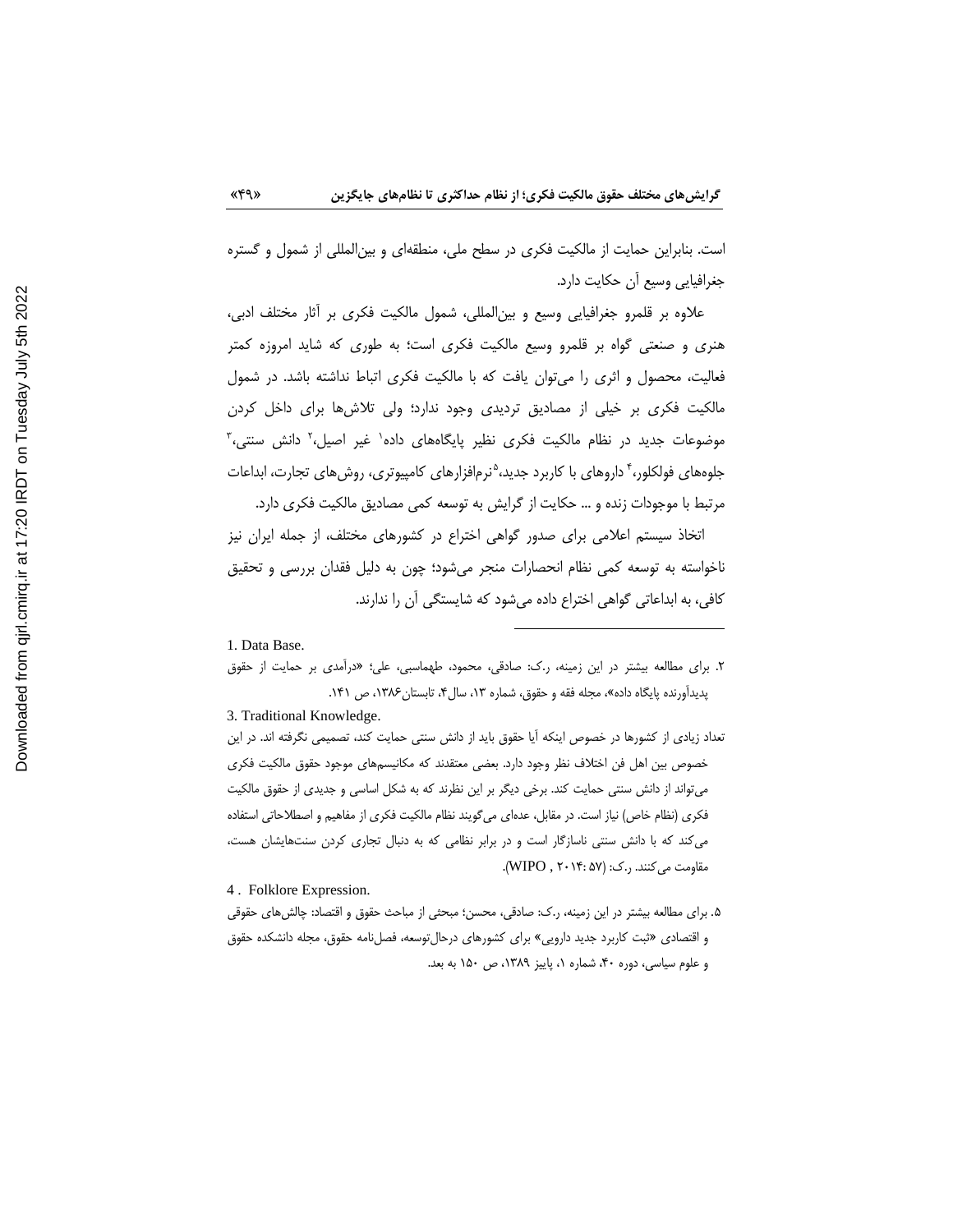است. بنابراین حمایت از مالکیت فکری در سطح ملی، منطقهای و بین|لمللی از شمول و گستره جغرافيايي وسيع آن حكايت دارد.

علاوه بر قلمرو جغرافیایی وسیع و بینالمللی، شمول مالکیت فکری بر آثار مختلف ادبی، هنری و صنعتی گواه بر قلمرو وسیع مالکیت فکری است؛ به طوری که شاید امروزه کمتر فعالیت، محصول و اثری را میتوان یافت که با مالکیت فکری اتباط نداشته باشد. در شمول مالکیت فکری بر خیلی از مصادیق تردیدی وجود ندارد؛ ولی تلاش،ها برای داخل کردن موضوعات جدید در نظام مالکیت فکری نظیر پایگاههای داده` غیر اصیل،۲ دانش سنتی،۳ جلوههای فولکلور،۴ داروهای با کاربرد جدید،<sup>۵</sup>نرمافزارهای کامپیوتری، روش های تجارت، ابداعات مرتبط با موجودات زنده و … حکایت از گرایش به توسعه کمی مصادیق مالکیت فکری دارد.

اتخاذ سیستم اعلامی برای صدور گواهی اختراع در کشورهای مختلف، از جمله ایران نیز ناخواسته به توسعه كمى نظام انحصارات منجر مىشود؛ چون به دليل فقدان بررسى و تحقيق کافی، به ابداعاتی گواهی اختراع داده می شود که شایستگی آن را ندارند.

1. Data Base.

۲. برای مطالعه بیشتر در این زمینه، ر.ک: صادقی، محمود، طهماسبی، علی؛ «درآمدی بر حمایت از حقوق پدیدآورنده پایگاه داده»، مجله فقه و حقوق، شماره ۱۳، سال۴، تابستان ۱۳۸۶، ص ۱۴۱.

3. Traditional Knowledge.

تعداد زیادی از کشورها در خصوص اینکه آیا حقوق باید از دانش سنتی حمایت کند، تصمیمی نگرفته اند. در این خصوص بین اهل فن اختلاف نظر وجود دارد. بعضی معتقدند که مکانیسمهای موجود حقوق مالکیت فکری می تواند از دانش سنتی حمایت کند. برخی دیگر بر این نظرند که به شکل اساسی و جدیدی از حقوق مالکیت فكرى (نظام خاص) نياز است. در مقابل، عدهاى مى گويند نظام مالكيت فكرى از مفاهيم و اصطلاحاتى استفاده می کند که با دانش سنتی ناسازگار است و در برابر نظامی که به دنبال تجاری کردن سنتهایشان هست، مقاومت می کنند. ر.ک: (WIPO, ۲۰۱۴: ۵۷).

4. Folklore Expression.

۵. برای مطالعه بیشتر در این زمینه، ر.ک: صادقی، محسن؛ مبحثی از مباحث حقوق و اقتصاد: چالشهای حقوقی و اقتصادی «ثبت کاربرد جدید دارویی» برای کشورهای درحالتوسعه، فصلiامه حقوق، مجله دانشکده حقوق و علوم سیاسی، دوره ۴۰، شماره ۱، پاییز ۱۳۸۹، ص ۱۵۰ به بعد.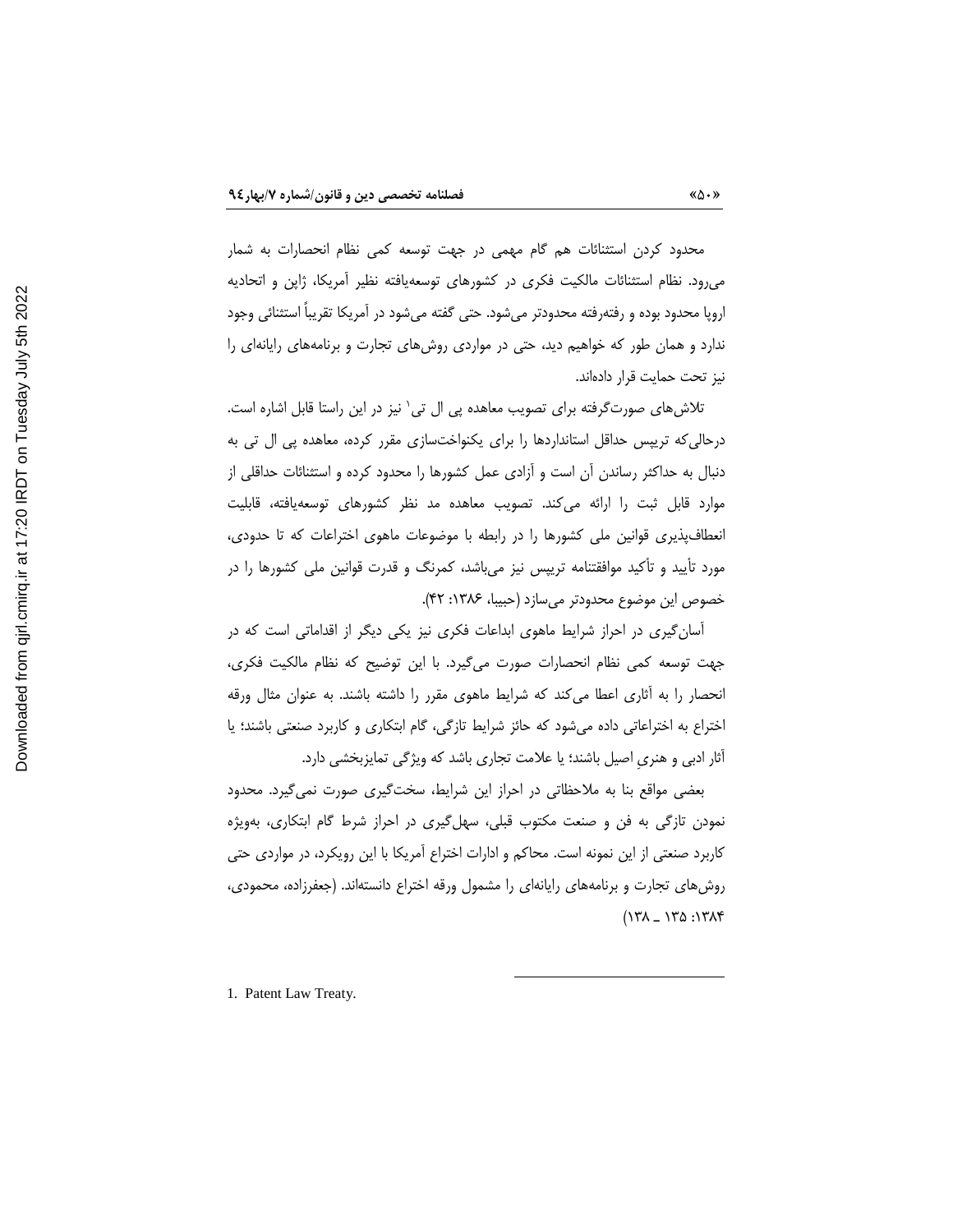محدود کردن استثنائات هم گام مهمی در جهت توسعه کمی نظام انحصارات به شمار می رود. نظام استثنائات مالکیت فکری در کشورهای توسعهیافته نظیر آمریکا، ژاپن و اتحادیه اروپا محدود بوده و رفتهرفته محدودتر میشود. حتی گفته میشود در آمریکا تقریباً استثنائی وجود ندارد و همان طور که خواهیم دید، حتی در مواردی روش های تجارت و برنامههای رایانهای را نيز تحت حمايت قرار دادهاند.

تلاش های صورت گرفته برای تصویب معاهده پی ال تی` نیز در این راستا قابل اشاره است. درحالی که تریپس حداقل استانداردها را برای یکنواختسازی مقرر کرده، معاهده پی ال تی به دنبال به حداکثر رساندن آن است و آزادی عمل کشورها را محدود کرده و استثنائات حداقلی از موارد قابل ثبت را ارائه میکند. تصویب معاهده مد نظر کشورهای توسعهیافته، قابلیت انعطافپذیری قوانین ملی کشورها را در رابطه با موضوعات ماهوی اختراعات که تا حدودی، مورد تأیید و تأکید موافقتنامه تریپس نیز میباشد، کمرنگ و قدرت قوانین ملی کشورها را در خصوص اين موضوع محدودتر مي سازد (حبيبا، ١٣٨۶: ۴٢).

اسانگیری در احراز شرایط ماهوی ابداعات فکری نیز یکی دیگر از اقداماتی است که در جهت توسعه كمى نظام انحصارات صورت مىگيرد. با اين توضيح كه نظام مالكيت فكرى، انحصار را به آثاری اعطا می کند که شرایط ماهوی مقرر را داشته باشند. به عنوان مثال ورقه اختراع به اختراعاتی داده میشود که حائز شرایط تازگی، گام ابتکاری و کاربرد صنعتی باشند؛ یا آثار ادبی و هنری اصیل باشند؛ یا علامت تجاری باشد که ویژگی تمایزبخشی دارد.

بعضی مواقع بنا به ملاحظاتی در احراز این شرایط، سختگیری صورت نمیگیرد. محدود نمودن تازگی به فن و صنعت مکتوب قبلی، سهل گیری در احراز شرط گام ابتکاری، بهویژه کاربرد صنعتی از این نمونه است. محاکم و ادارات اختراع آمریکا با این رویکرد، در مواردی حتی روشهای تجارت و برنامههای رایانهای را مشمول ورقه اختراع دانستهاند. (جعفرزاده، محمودی،  $(17\lambda - 17\Delta)$ :  $17\lambda$ 

1. Patent Law Treaty.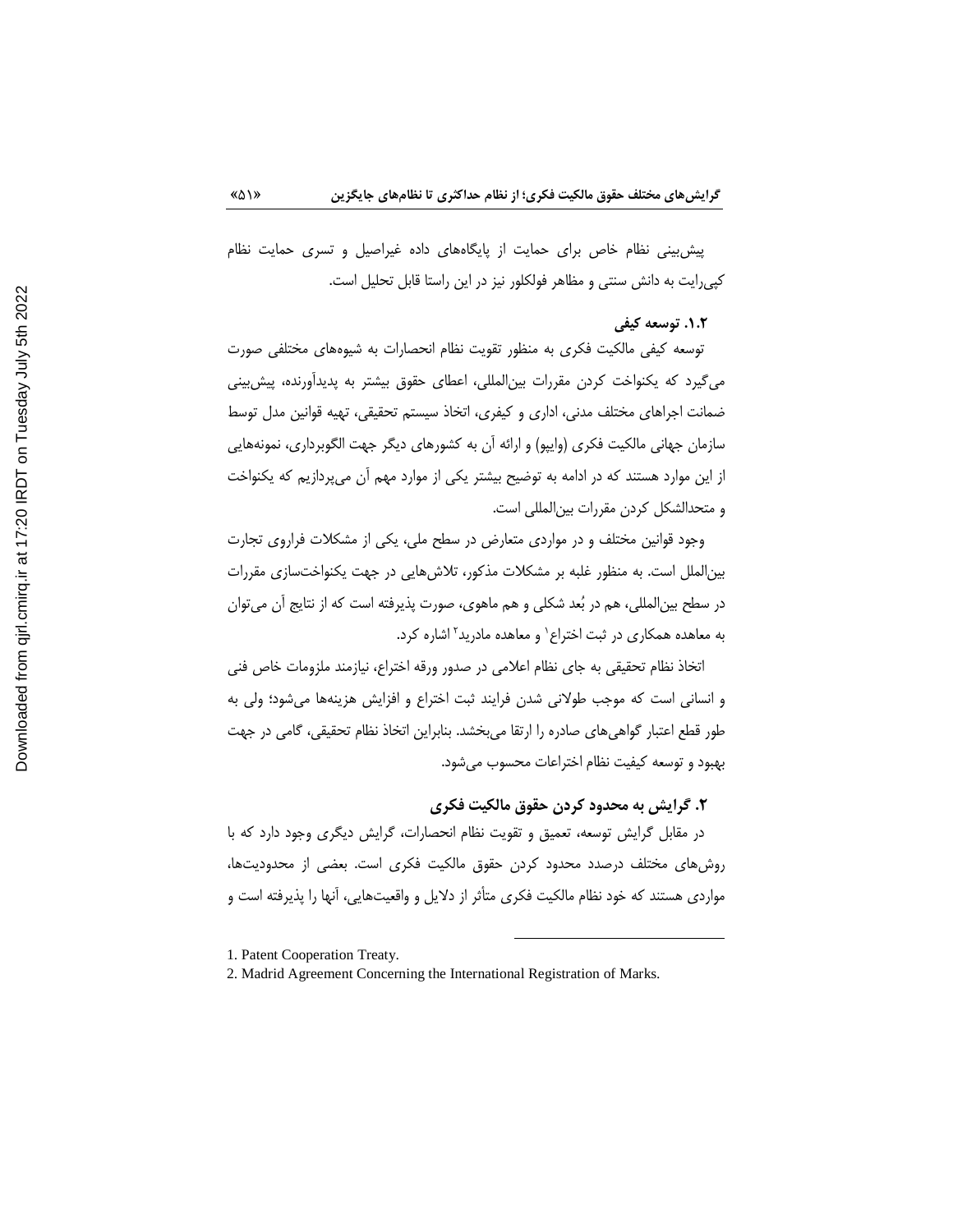پیش بینی نظام خاص برای حمایت از پایگاههای داده غیراصیل و تسری حمایت نظام كپی رایت به دانش سنتی و مظاهر فولكلور نیز در این راستا قابل تحلیل است.

### ١.٢. توسعه کيفي

توسعه کیفی مالکیت فکری به منظور تقویت نظام انحصارات به شیوههای مختلفی صورت می گیرد که یکنواخت کردن مقررات بین|لمللی، اعطای حقوق بیشتر به پدیدآورنده، پیش بینی ضمانت اجراهای مختلف مدنی، اداری و کیفری، اتخاذ سیستم تحقیقی، تهیه قوانین مدل توسط سازمان جهانی مالکیت فکری (وایپو) و ارائه آن به کشورهای دیگر جهت الگوبرداری، نمونههایی از این موارد هستند که در ادامه به توضیح بیشتر یکی از موارد مهم آن میپردازیم که یکنواخت و متحدالشکل کردن مقررات بین المللی است.

وجود قوانین مختلف و در مواردی متعارض در سطح ملی، یکی از مشکلات فراروی تجارت بین|لملل است. به منظور غلبه بر مشکلات مذکور، تلاش هایی در جهت یکنواختسازی مقررات در سطح بین|لمللی، هم در بُعد شکلی و هم ماهوی، صورت پذیرفته است که از نتایج آن می توان به معاهده همکاری در ثبت اختراع<sup>۱</sup> و معاهده مادرید<sup>۲</sup> اشاره کرد.

اتخاذ نظام تحقیقی به جای نظام اعلامی در صدور ورقه اختراع، نیازمند ملزومات خاص فنی و انسانی است که موجب طولانی شدن فرایند ثبت اختراع و افزایش هزینهها می شود؛ ولی به طور قطع اعتبار گواهی های صادره را ارتقا می بخشد. بنابراین اتخاذ نظام تحقیقی، گامی در جهت بهبود و توسعه كيفيت نظام اختراعات محسوب مي شود.

۲. گرایش به محدود کردن حقوق مالکیت فکری

در مقابل گرایش توسعه، تعمیق و تقویت نظام انحصارات، گرایش دیگری وجود دارد که با روشهای مختلف درصدد محدود کردن حقوق مالکیت فکری است. بعضی از محدودیتها، مواردی هستند که خود نظام مالکیت فکری متأثر از دلایل و واقعیتهایی، آنها را پذیرفته است و

<sup>1.</sup> Patent Cooperation Treaty.

<sup>2.</sup> Madrid Agreement Concerning the International Registration of Marks.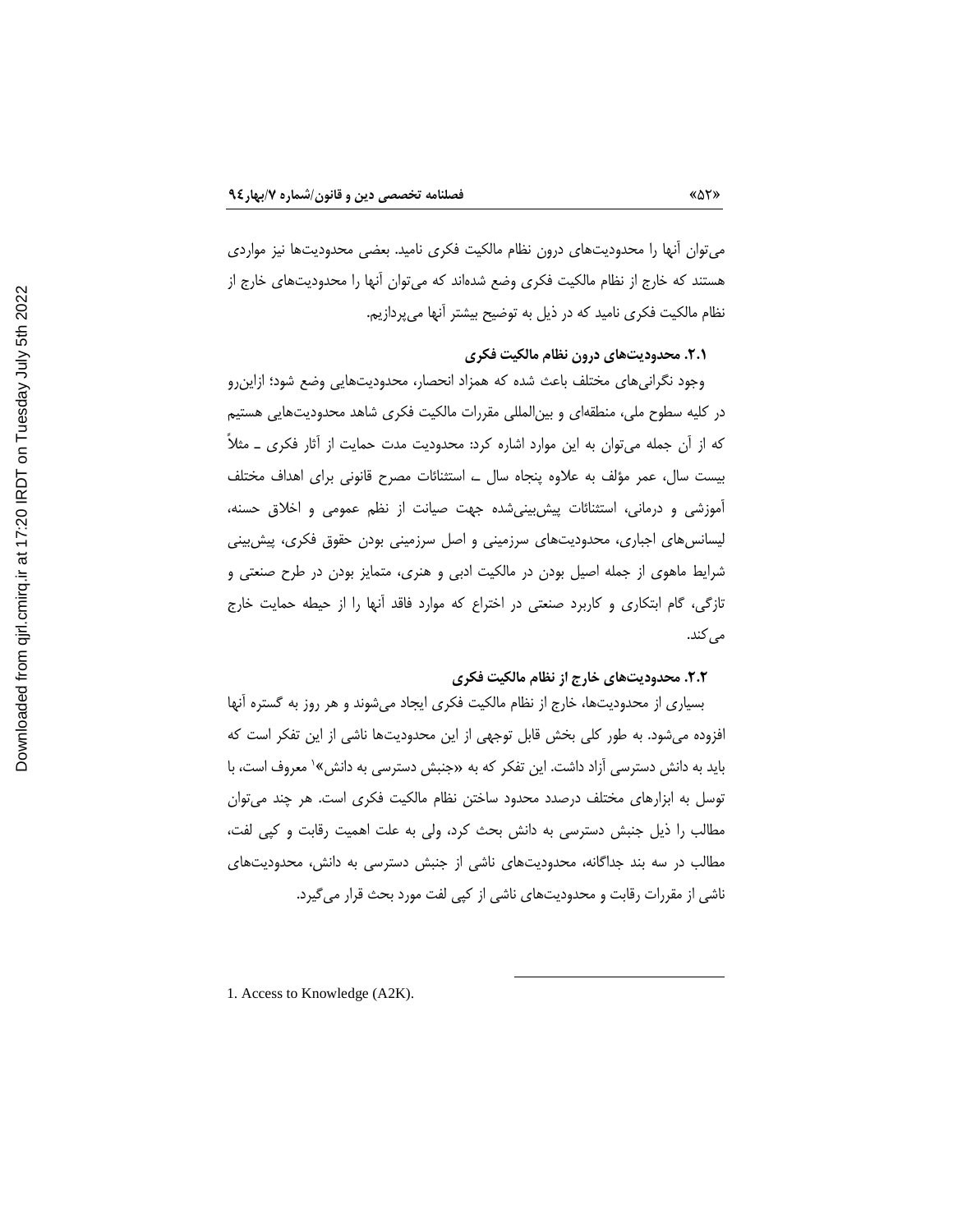می¤وان آنها را محدودیتهای درون نظام مالکیت فکری نامید. بعضی محدودیتها نیز مواردی هستند که خارج از نظام مالکیت فکری وضع شدهاند که می¤وان آنها را محدودیتهای خارج از نظام مالکیت فکری نامید که در ذیل به توضیح بیشتر أنها میپردازیم.

## ٢.١. محدوديتهاي درون نظام مالكيت فكرى

وجود نگرانیهای مختلف باعث شده که همزاد انحصار، محدودیتهایی وضع شود؛ ازاین٫و در کلیه سطوح ملی، منطقهای و بین|لمللی مقررات مالکیت فکری شاهد محدودیتهایی هستیم که از آن جمله میتوان به این موارد اشاره کرد: محدودیت مدت حمایت از آثار فکری ــ مثلاً بیست سال، عمر مؤلف به علاوه پنجاه سال ے استثنائات مصرح قانونی برای اهداف مختلف آموزشی و درمانی، استثنائات پیش،بینی،شده جهت صیانت از نظم عمومی و اخلاق حسنه، لیسانس های اجباری، محدودیتهای سرزمینی و اصل سرزمینی بودن حقوق فکری، پیش بینی شرایط ماهوی از جمله اصیل بودن در مالکیت ادبی و هنری، متمایز بودن در طرح صنعتی و تازگی، گام ابتکاری و کاربرد صنعتی در اختراع که موارد فاقد أنها را از حیطه حمایت خارج می کند.

#### ٢.٢. محدوديتهاي خارج از نظام مالكيت فكرى

بسیاری از محدودیتها، خارج از نظام مالکیت فکری ایجاد میشوند و هر روز به گستره آنها افزوده میشود. به طور کلی بخش قابل توجهی از این محدودیتها ناشی از این تفکر است که باید به دانش دسترسی آزاد داشت. این تفکر که به «جنبش دسترسی به دانش»<sup>۱</sup> معروف است، با توسل به ابزارهای مختلف درصدد محدود ساختن نظام مالکیت فکری است. هر چند می توان مطالب را ذیل جنبش دسترسی به دانش بحث کرد، ولی به علت اهمیت رقابت و کپی لفت، مطالب در سه بند جداگانه، محدودیتهای ناشی از جنبش دسترسی به دانش، محدودیتهای ناشی از مقررات رقابت و محدودیتهای ناشی از کپی لفت مورد بحث قرار می گیرد.

1. Access to Knowledge (A2K).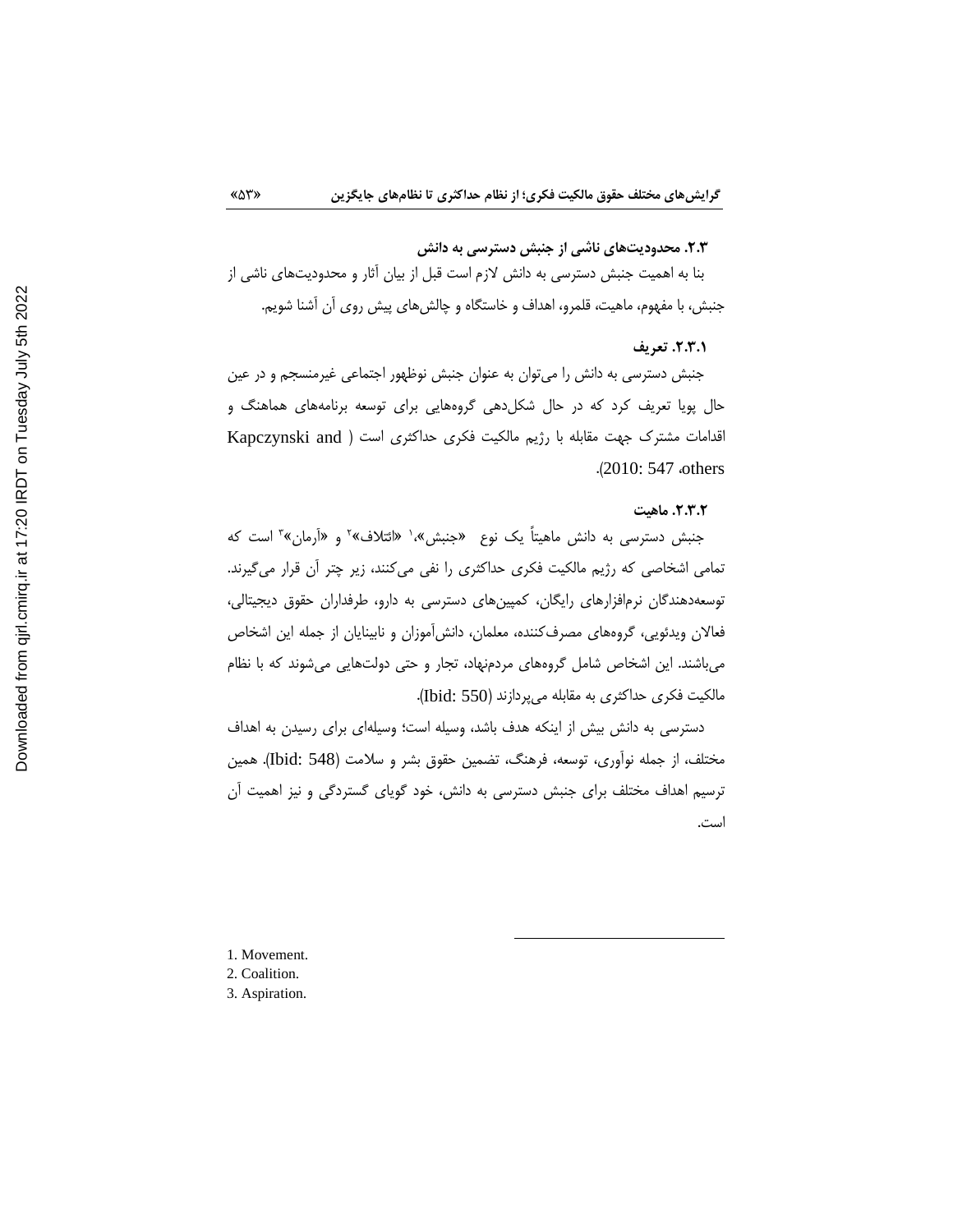**۲.۳. محدودیتهای ناشی از جنبش دسترسی به دانش** 

بنا به اهمیت جنبش دسترسی به دانش لازم است قبل از بیان آثار و محدودیتهای ناشی از جنبش، با مفهوم، ماهیت، قلمرو، اهداف و خاستگاه و چالش های پیش روی آن آشنا شویم.

#### ٢.٣.١. تعريف

جنبش دسترسی به دانش را می توان به عنوان جنبش نوظهور اجتماعی غیرمنسجم و در عین حال یویا تعریف کرد که در حال شکل دهی گروههایی برای توسعه برنامههای هماهنگ و اقدامات مشترک جهت مقابله با رژیم مالکیت فکری حداکثری است ( Kapczynski and .(2010: 547 others

#### ٢.٣.٢. ماهت

جنبش دسترسی به دانش ماهیتاً یک نوع «جنبش»،` «ائتلاف»<sup>۲</sup> و «اَرمان»<sup>۳</sup> است که تمامی اشخاصی که رژیم مالکیت فکری حداکثری را نفی میکنند، زیر چتر آن قرار میگیرند. توسعه دهندگان نرمافزارهای رایگان، کمپینهای دسترسی به دارو، طرفداران حقوق دیجیتالی، فعالان ويدئويي، گروههاي مصرف كننده، معلمان، دانش آموزان و نابينايان از جمله اين اشخاص میباشند. این اشخاص شامل گروههای مردمنهاد، تجار و حتی دولتهایی میشوند که با نظام مالکیت فکری حداکثری به مقابله می پردازند (Ibid: 550).

دسترسی به دانش بیش از اینکه هدف باشد، وسیله است؛ وسیلهای برای رسیدن به اهداف مختلف، از جمله نوأوري، توسعه، فرهنگ، تضمین حقوق بشر و سلامت (Ibid: 548). همین ترسیم اهداف مختلف برای جنبش دسترسی به دانش، خود گویای گستردگی و نیز اهمیت آن است.

- 1. Movement.
- 2. Coalition.
- 3. Aspiration.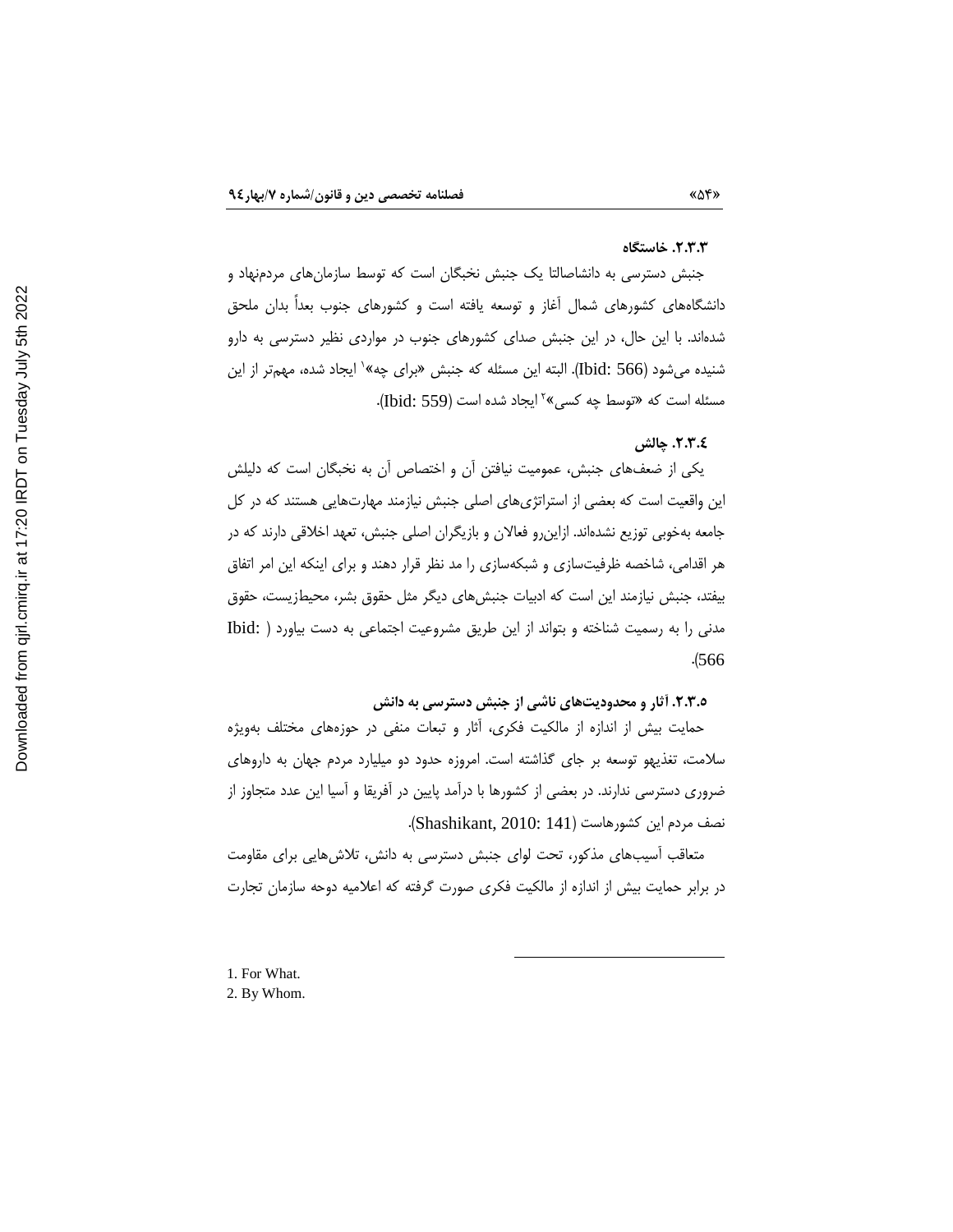#### ٢.٣.٣. خاستگاه

جنبش دسترسی به دانشاصالتا یک جنبش نخبگان است که توسط سازمانهای مردمنهاد و دانشگاههای کشورهای شمال آغاز و توسعه یافته است و کشورهای جنوب بعداً بدان ملحق شدهاند. با این حال، در این جنبش صدای کشورهای جنوب در مواردی نظیر دسترسی به دارو شنیده می شود (Ibid: 566). البته این مسئله که جنبش «برای چه»٬ ایجاد شده، مهمتر از این مسئله است که «توسط چه کسی»<sup>۲</sup> ایجاد شده است (1559).

#### ٢.٣.٤. چالش

یکی از ضعفهای جنبش، عمومیت نیافتن أن و اختصاص أن به نخبگان است که دلیلش این واقعیت است که بعضی از استراتژیهای اصلی جنبش نیازمند مهارتهایی هستند که در کل جامعه بهخوبی توزیع نشدهاند. ازاین٫رو فعالان و بازیگران اصلی جنبش، تعهد اخلاقی دارند که در هر اقدامی، شاخصه ظرفیتسازی و شبکهسازی را مد نظر قرار دهند و برای اینکه این امر اتفاق بیفتد، جنبش نیازمند این است که ادبیات جنبشهای دیگر مثل حقوق بشر، محیطزیست، حقوق مدنی را به رسمیت شناخته و بتواند از این طریق مشروعیت اجتماعی به دست بیاورد ( .Ibid  $.566$ 

## ۲.۳.٥. آثار و محدودیتهای ناشی از جنبش دسترسی به دانش

حمایت بیش از اندازه از مالکیت فکری، آثار و تبعات منفی در حوزههای مختلف بهویژه سلامت، تغذیهو توسعه بر جای گذاشته است. امروزه حدود دو میلیارد مردم جهان به داروهای ضروری دسترسی ندارند. در بعضی از کشورها با درآمد پایین در آفریقا و آسیا این عدد متجاوز از نصف مردم این کشورهاست (Shashikant, 2010: 141).

متعاقب اًسیبهای مذکور، تحت لوای جنبش دسترسی به دانش، تلاشهایی برای مقاومت در برابر حمایت بیش از اندازه از مالکیت فکری صورت گرفته که اعلامیه دوحه سازمان تجارت

- 1. For What.
- 2. By Whom.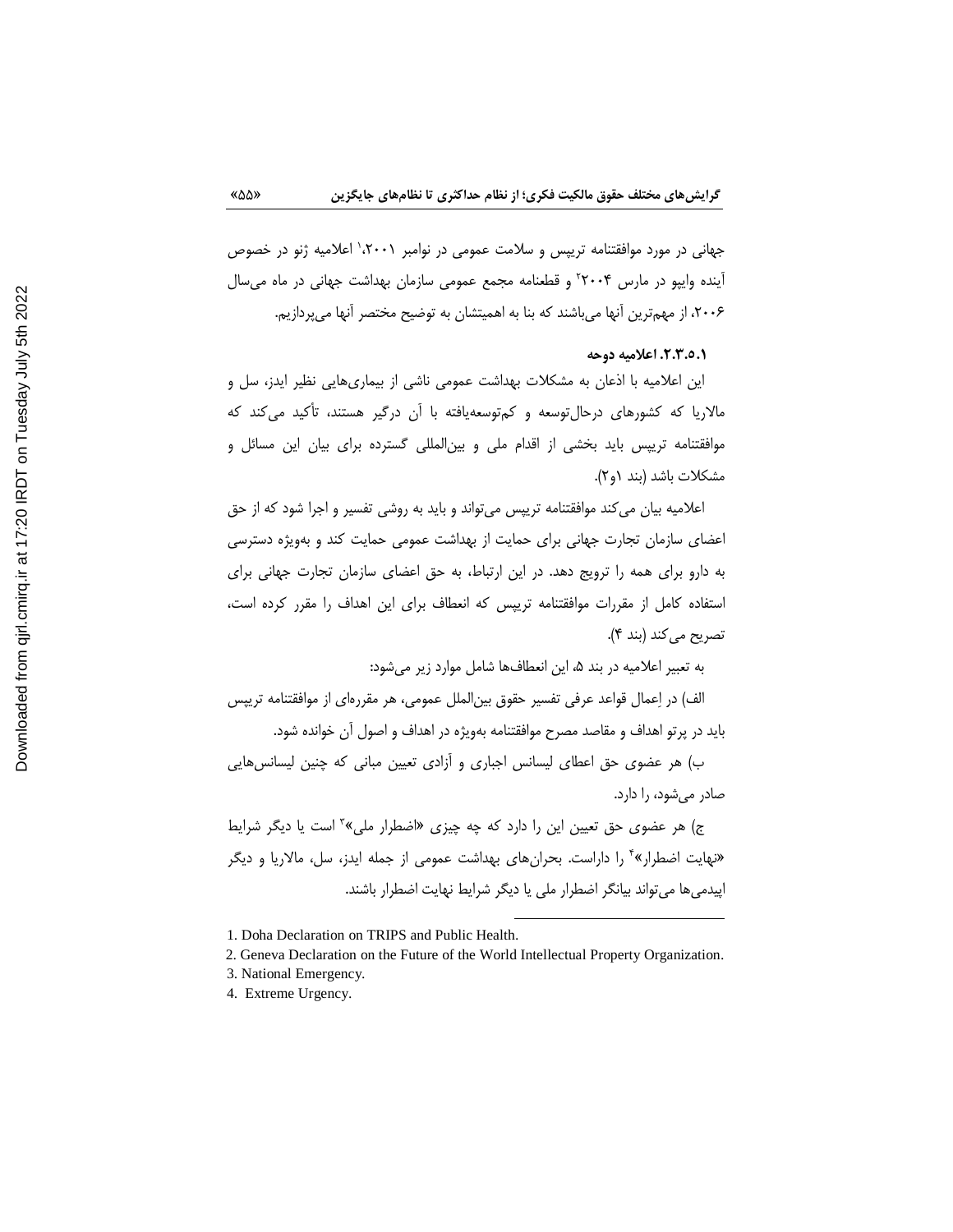جهانی در مورد موافقتنامه تریپس و سلامت عمومی در نوامبر ۲۰۰۱،' اعلامیه ژنو در خصوص آینده وایپو در مارس ۲۰۰۴ و قطعنامه مجمع عمومی سازمان بهداشت جهانی در ماه می سال ۲۰۰۶، از مهم ترین آنها میباشند که بنا به اهمیتشان به توضیح مختصر آنها میپردازیم.

#### ٠.١.٢.٢. اعلاميه دوجه

این اعلامیه با اذعان به مشکلات بهداشت عمومی ناشی از بیماریِهایی نظیر ایدز، سل و مالاریا که کشورهای درحالتوسعه و کمتوسعهیافته با آن درگیر هستند، تأکید می کند که موافقتنامه تریپس باید بخشی از اقدام ملی و بین|لمللی گسترده برای بیان این مسائل و مشكلات باشد (بند ۱و۲).

اعلامیه بیان می کند موافقتنامه تریپس می تواند و باید به روشی تفسیر و اجرا شود که از حق اعضای سازمان تجارت جهانی برای حمایت از بهداشت عمومی حمایت کند و بهویژه دسترسی به دارو برای همه را ترویج دهد. در این ارتباط، به حق اعضای سازمان تجارت جهانی برای استفاده کامل از مقررات موافقتنامه تریپس که انعطاف برای این اهداف را مقرر کرده است، تصريح مي كند (بند ۴).

به تعبير اعلاميه در بند ۵، اين انعطافها شامل موارد زير مى شود:

الف) در اِعمال قواعد عرفی تفسیر حقوق بین|لملل عمومی، هر مقررهای از موافقتنامه تریپس باید در پرتو اهداف و مقاصد مصرح موافقتنامه بهویژه در اهداف و اصول آن خوانده شود.

ب) هر عضوی حق اعطای لیسانس اجباری و آزادی تعیین مبانی که چنین لیسانس هایی صادر می شود، را دارد.

ج) هر عضوى حق تعيين اين را دارد كه چه چيزى «اضطرار ملي»<sup>۳</sup> است يا ديگر شرايط «نهایت اضطرار»<sup>۴</sup> را داراست. بحران های بهداشت عمومی از جمله ایدز، سل، مالاریا و دیگر اپیدمے ها مے تواند بیانگر اضطرار ملی یا دیگر شرایط نهایت اضطرار باشند.

<sup>1.</sup> Doha Declaration on TRIPS and Public Health.

<sup>2.</sup> Geneva Declaration on the Future of the World Intellectual Property Organization.

<sup>3.</sup> National Emergency.

<sup>4.</sup> Extreme Urgency.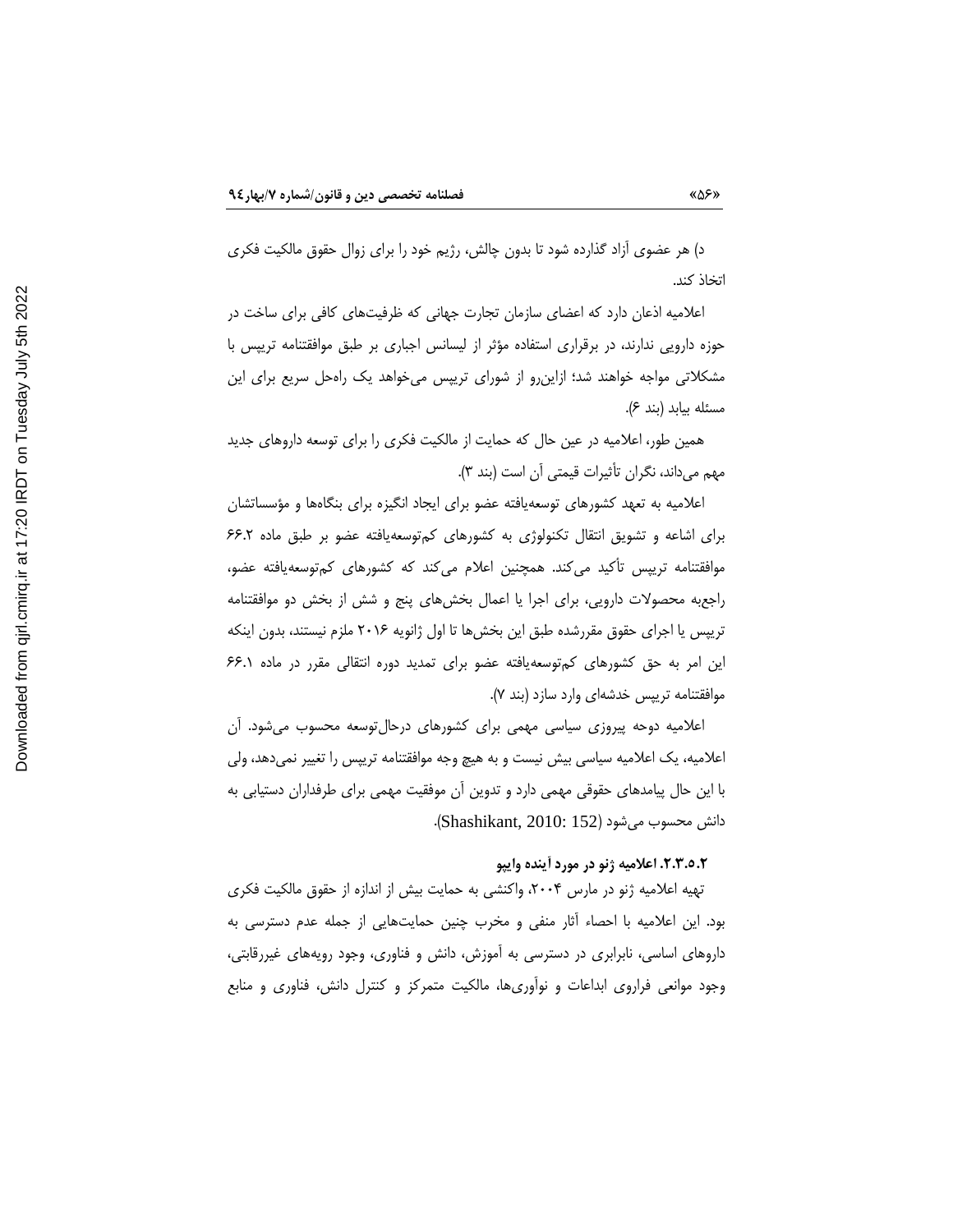د) هر عضوی آزاد گذارده شود تا بدون چالش، رژیم خود را برای زوال حقوق مالکیت فکری اتخاذ كند.

اعلامیه اذعان دارد که اعضای سازمان تجارت جهانی که ظرفیتهای کافی برای ساخت در حوزه دارویی ندارند، در برقراری استفاده مؤثر از لیسانس اجباری بر طبق موافقتنامه تریپس با مشکلاتی مواجه خواهند شد؛ ازاین٫رو از شورای تریپس میخواهد یک راهحل سریع برای این مسئله بيابد (بند ۶).

همین طور، اعلامیه در عین حال که حمایت از مالکیت فکری را برای توسعه داروهای جدید مهم مے داند، نگران تأثیرات قیمتے ِ آن است (بند ۳).

اعلامیه به تعهد کشورهای توسعهیافته عضو برای ایجاد انگیزه برای بنگاهها و مؤسساتشان برای اشاعه و تشویق انتقال تکنولوژی به کشورهای کمتوسعه یافته عضو بر طبق ماده ۶۶.۲ موافقتنامه تریپس تأکید میکند. همچنین اعلام میکند که کشورهای کمتوسعهیافته عضو، راجع به محصولات دارویی، برای اجرا یا اعمال بخش های پنج و شش از بخش دو موافقتنامه تریپس یا اجرای حقوق مقررشده طبق این بخشها تا اول ژانویه ۲۰۱۶ ملزم نیستند، بدون اینکه این امر به حق کشورهای کمتوسعه یافته عضو برای تمدید دوره انتقالی مقرر در ماده ۶۶.۱ موافقتنامه تریپس خدشهای وارد سازد (بند ۷).

اعلامیه دوحه پیروزی سیاسی مهمی برای کشورهای درحالتوسعه محسوب میشود. آن اعلامیه، یک اعلامیه سیاسی بیش نیست و به هیچ وجه موافقتنامه تریپس را تغییر نمیدهد، ولی با این حال پیامدهای حقوقی مهمی دارد و تدوین آن موفقیت مهمی برای طرفداران دستیابی به دانش محسوب می شود (Shashikant, 2010: 152).

## ٠.٢.٣.٥.٢ اعلاميه ژنو در مورد أينده واييو

تهیه اعلامیه ژنو در مارس ۲۰۰۴، واکنشی به حمایت بیش از اندازه از حقوق مالکیت فکری بود. این اعلامیه با احصاء آثار منفی و مخرب چنین حمایتهایی از جمله عدم دسترسی به داروهای اساسی، نابرابری در دسترسی به آموزش، دانش و فناوری، وجود رویههای غیررقابتی، وجود موانعی فراروی ابداعات و نوآوریها، مالکیت متمرکز و کنترل دانش، فناوری و منابع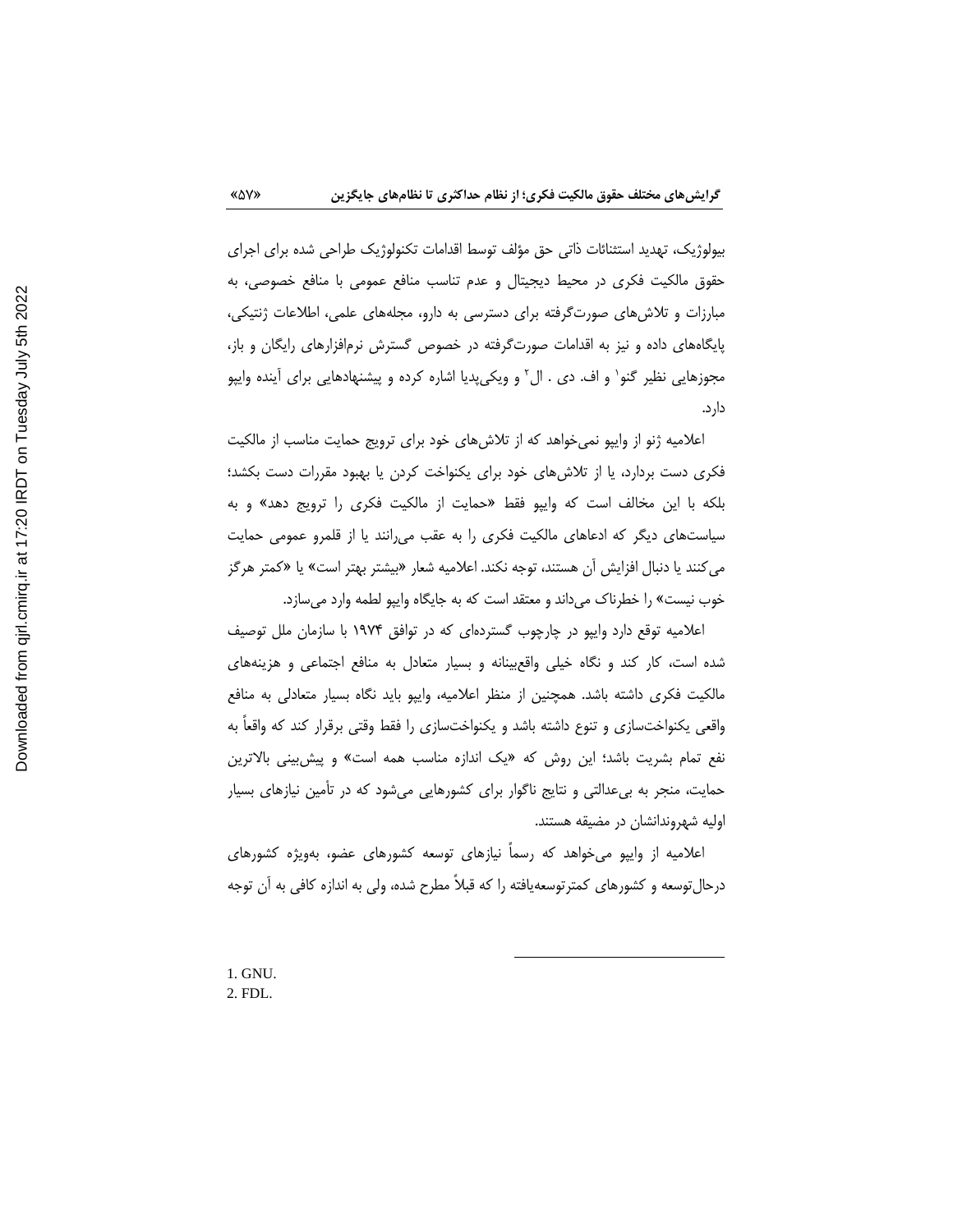بیولوژیک، تهدید استثنائات ذاتی حق مؤلف توسط اقدامات تکنولوژیک طراحی شده برای اجرای حقوق مالکیت فکری در محیط دیجیتال و عدم تناسب منافع عمومی با منافع خصوصی، به مبارزات و تلاشهای صورتگرفته برای دسترسی به دارو، مجلههای علمی، اطلاعات ژنتیکی، پایگاههای داده و نیز به اقدامات صورتگرفته در خصوص گسترش نرمافزارهای رایگان و باز، مجوزهایی نظیر گنو٬ و اف. دی . ال٬ و ویکی پدیا اشاره کرده و پیشنهادهایی برای آینده وایپو دارد.

اعلامیه ژنو از وایپو نمیخواهد که از تلاشهای خود برای ترویج حمایت مناسب از مالکیت فکری دست بردارد، یا از تلاش های خود برای یکنواخت کردن یا بهبود مقررات دست بکشد؛ بلکه با این مخالف است که وایپو فقط «حمایت از مالکیت فکری را ترویج دهد» و به سیاستهای دیگر که ادعاهای مالکیت فکری را به عقب می رانند یا از قلمرو عمومی حمایت می کنند یا دنبال افزایش آن هستند، توجه نکند. اعلامیه شعار «بیشتر بهتر است» یا «کمتر هرگز خوب نيست» را خطرناک مي داند و معتقد است که به جايگاه واييو لطمه وارد مي سازد.

اعلامیه توقع دارد وایپو در چارچوب گستردهای که در توافق ۱۹۷۴ با سازمان ملل توصیف شده است، کار کند و نگاه خیلی واقعبینانه و بسیار متعادل به منافع اجتماعی و هزینههای مالکیت فکری داشته باشد. همچنین از منظر اعلامیه، وایپو باید نگاه بسیار متعادلی به منافع واقعی یکنواختسازی و تنوع داشته باشد و یکنواختسازی را فقط وقتی برقرار کند که واقعاً به نفع تمام بشریت باشد؛ این روش که «یک اندازه مناسب همه است» و پیش بینی بالاترین حمایت، منجر به بیعدالتی و نتایج ناگوار برای کشورهایی میشود که در تأمین نیازهای بسیار اولیه شهروندانشان در مضیقه هستند.

اعلامیه از وایپو میخواهد که رسما نیازهای توسعه کشورهای عضو، بهویژه کشورهای درحالتوسعه و کشورهای کمترتوسعهیافته را که قبلاً مطرح شده، ولی به اندازه کافی به آن توجه

<sup>1.</sup> GNU. 2. FDL.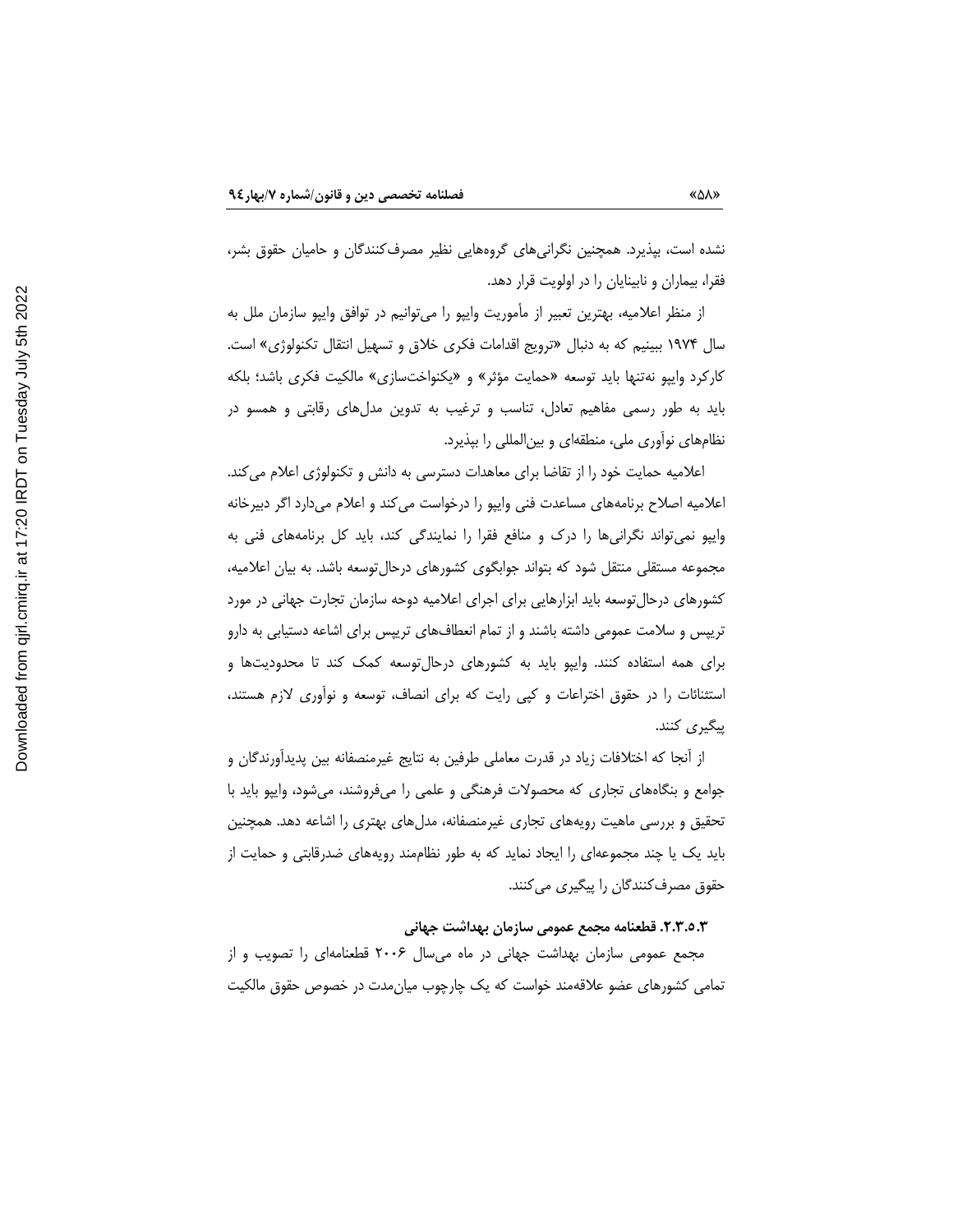نشده است، بپذیرد. همچنین نگرانیهای گروههایی نظیر مصرف¢کنندگان و حامیان حقوق بشر، فقرا، بیماران و نابینایان را در اولویت قرار دهد.

از منظر اعلامیه، بهترین تعبیر از مأموریت وایپو را میتوانیم در توافق وایپو سازمان ملل به سال ۱۹۷۴ ببینیم که به دنبال «ترویج اقدامات فکری خلاق و تسهیل انتقال تکنولوژی» است. کارکرد وايپو نهتنها بايد توسعه «حمايت مؤثر» و «يکنواختسازي» مالکيت فکري باشد؛ بلکه باید به طور رسمی مفاهیم تعادل، تناسب و ترغیب به تدوین مدلهای رقابتی و همسو در نظامهای نوآوری ملی، منطقهای و بینالمللی را بپذیرد.

اعلامیه حمایت خود را از تقاضا برای معاهدات دسترسی به دانش و تکنولوژی اعلام می کند. اعلامیه اصلاح برنامههای مساعدت فنی وایپو را درخواست می کند و اعلام میدارد اگر دبیرخانه وایپو نمی تواند نگرانی ها را درک و منافع فقرا را نمایندگی کند، باید کل برنامههای فنی به مجموعه مستقلی منتقل شود که بتواند جوابگوی کشورهای درحال توسعه باشد. به بیان اعلامیه، کشورهای درحال توسعه باید ابزارهایی برای اجرای اعلامیه دوحه سازمان تجارت جهانی در مورد تریپس و سلامت عمومی داشته باشند و از تمام انعطافهای تریپس برای اشاعه دستیابی به دارو برای همه استفاده کنند. وایپو باید به کشورهای درحال توسعه کمک کند تا محدودیتها و استثنائات را در حقوق اختراعات و کپی رایت که برای انصاف، توسعه و نوآوری لازم هستند، ييگير*ي* كنند.

از انجا که اختلافات زیاد در قدرت معاملی طرفین به نتایج غیرمنصفانه بین پدیداورندگان و جوامع و بنگاههای تجاری که محصولات فرهنگی و علمی را میفروشند، میشود، وایپو باید با تحقیق و بررسی ماهیت رویههای تجاری غیرمنصفانه، مدلهای بهتری را اشاعه دهد. همچنین باید یک یا چند مجموعهای را ایجاد نماید که به طور نظام مند رویههای ضدرقابتی و حمایت از حقوق مصرفکنندگان را پیگیری میکنند.

٢.٣.٥.٣. قطعنامه مجمع عمومي سازمان بهداشت جهاني

مجمع عمومی سازمان بهداشت جهانی در ماه میسال ۲۰۰۶ قطعنامهای را تصویب و از تمامی کشورهای عضو علاقهمند خواست که یک چارچوب میان مدت در خصوص حقوق مالکیت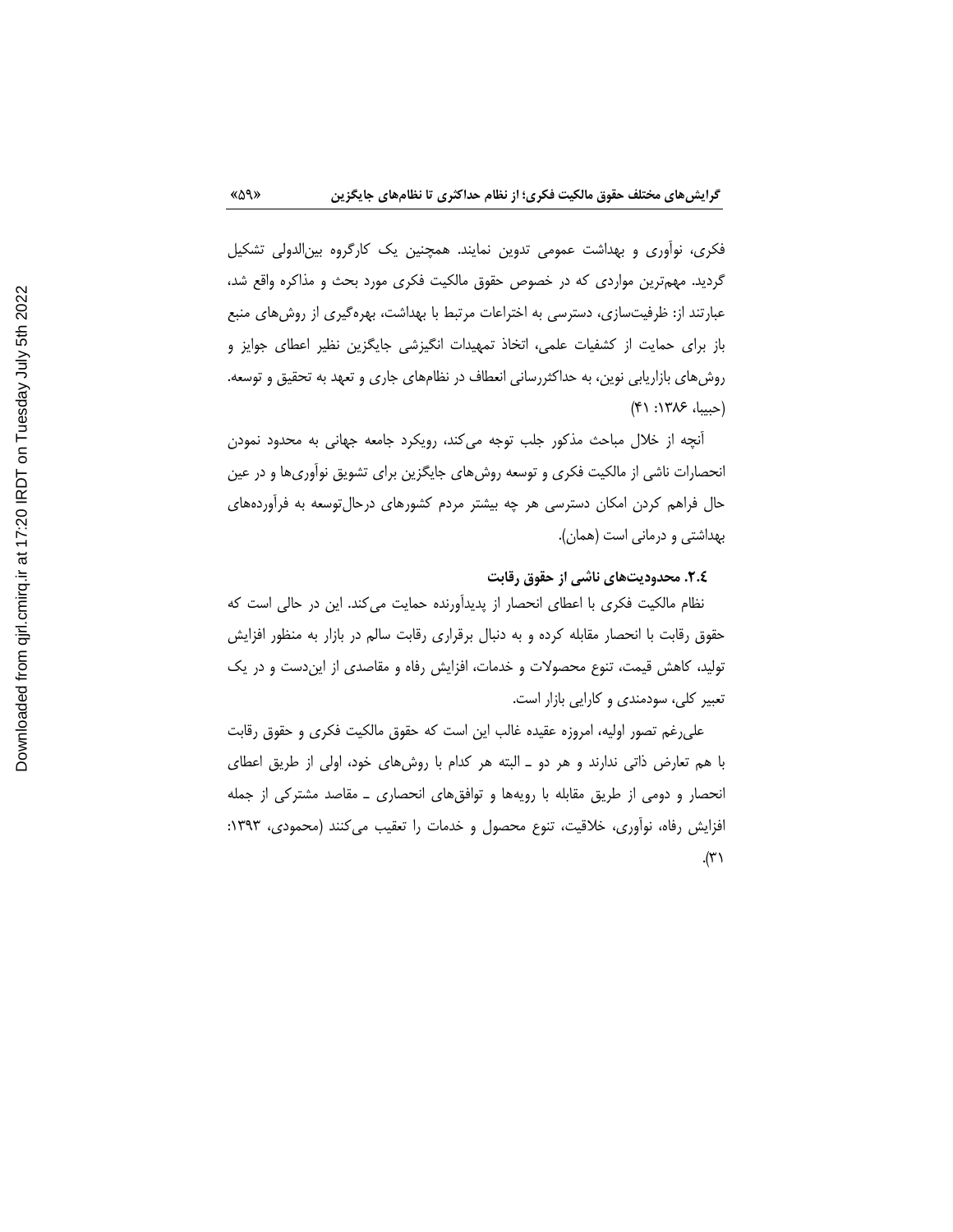فکری، نوآوری و بهداشت عمومی تدوین نمایند. همچنین یک کارگروه بینالدولی تشکیل گردید. مهمترین مواردی که در خصوص حقوق مالکیت فکری مورد بحث و مذاکره واقع شد، عبارتند از: ظرفیتسازی، دسترسی به اختراعات مرتبط با بهداشت، بهرهگیری از روشهای منبع باز برای حمایت از کشفیات علمی، اتخاذ تمهیدات انگیزشی جایگزین نظیر اعطای جوایز و روشهای بازاریابی نوین، به حداکثررسانی انعطاف در نظامهای جاری و تعهد به تحقیق و توسعه. (حبيبا، ۱۳۸۶: ۴۱)

«۵۹»

أنچه از خلال مباحث مذکور جلب توجه میکند، رویکرد جامعه جهانی به محدود نمودن انحصارات ناشی از مالکیت فکری و توسعه روشهای جایگزین برای تشویق نوآوریها و در عین حال فراهم کردن امکان دسترسی هر چه بیشتر مردم کشورهای درحال توسعه به فرآوردههای بهداشتی و درمانی است (همان).

٢.٤. محدوديتهاي ناشي از حقوق رقابت

نظام مالکیت فکری با اعطای انحصار از پدیدآورنده حمایت میکند. این در حالی است که حقوق رقابت با انحصار مقابله كرده و به دنبال برقرارى رقابت سالم در بازار به منظور افزايش تولید، کاهش قیمت، تنوع محصولات و خدمات، افزایش رفاه و مقاصدی از این دست و در یک تعبیر کلی، سودمندی و کارایی بازار است.

علی رغم تصور اولیه، امروزه عقیده غالب این است که حقوق مالکیت فکری و حقوق رقابت با هم تعارض ذاتی ندارند و هر دو ـ البته هر کدام با روشهای خود، اولی از طریق اعطای انحصار و دومی از طریق مقابله با رویهها و توافق های انحصاری \_ مقاصد مشترکی از جمله افزایش رفاه، نواوری، خلاقیت، تنوع محصول و خدمات را تعقیب می کنند (محمودی، ۱۳۹۳:  $\mathcal{N}$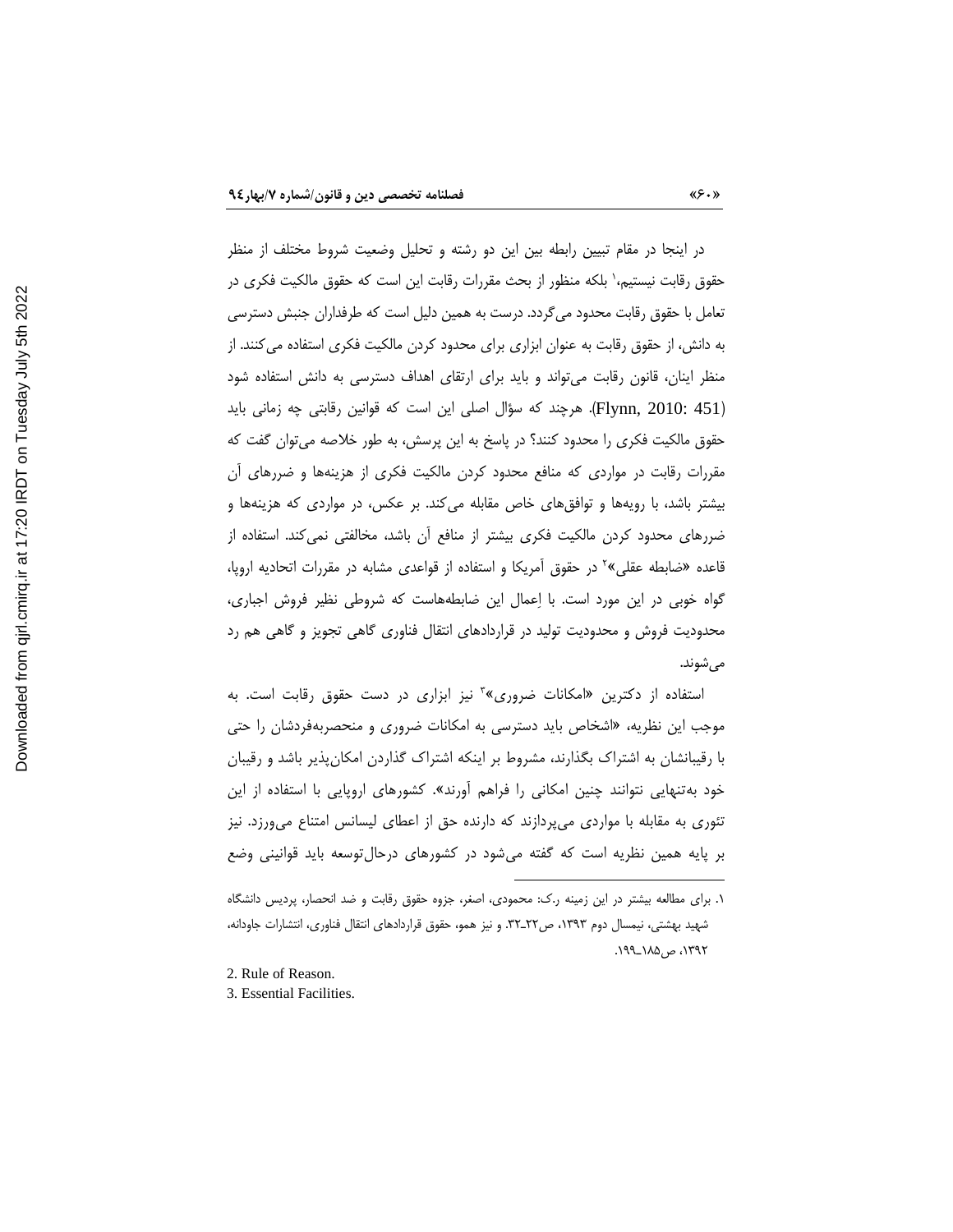در اینجا در مقام تبیین رابطه بین این دو رشته و تحلیل وضعیت شروط مختلف از منظر حقوق رقابت نیستیم،` بلکه منظور از بحث مقررات رقابت این است که حقوق مالکیت فکری در تعامل با حقوق رقابت محدود می گردد. درست به همین دلیل است که طرفداران جنبش دسترسی به دانش، از حقوق رقابت به عنوان ابزاری برای محدود کردن مالکیت فکری استفاده می کنند. از منظر اینان، قانون رقابت میتواند و باید برای ارتقای اهداف دسترسی به دانش استفاده شود (Flynn, 2010: 451). هرچند که سؤال اصلی این است که قوانین رقابتی چه زمانی باید حقوق مالکیت فکری را محدود کنند؟ در پاسخ به این پرسش، به طور خلاصه میتوان گفت که مقررات رقابت در مواردی که منافع محدود کردن مالکیت فکری از هزینهها و ضررهای آن بیشتر باشد، با رویهها و توافقهای خاص مقابله میکند. بر عکس، در مواردی که هزینهها و ضررهای محدود کردن مالکیت فکری بیشتر از منافع آن باشد، مخالفتی نمی کند. استفاده از قاعده «ضابطه عقلی»<sup>۲</sup> در حقوق آمریکا و استفاده از قواعدی مشابه در مقررات اتحادیه اروپا، گواه خوبی در این مورد است. با اِعمال این ضابطههاست که شروطی نظیر فروش اجباری، محدودیت فروش و محدودیت تولید در قراردادهای انتقال فناوری گاهی تجویز و گاهی هم رد مى شوند.

استفاده از دکترین «امکانات ضروری»<sup>۳</sup> نیز ابزاری در دست حقوق رقابت است. به موجب این نظریه، «اشخاص باید دسترسی به امکانات ضروری و منحصربهفردشان را حتی با رقیبانشان به اشتراک بگذارند، مشروط بر اینکه اشتراک گذاردن امکان پذیر باشد و رقیبان خود به تنهایی نتوانند چنین امکانی را فراهم آورند». کشورهای اروپایی با استفاده از این تئوری به مقابله با مواردی میپردازند که دارنده حق از اعطای لیسانس امتناع میLورزد. نیز بر پایه همین نظریه است که گفته میشود در کشورهای درحالتوسعه باید قوانینی وضع  $\overline{a}$ 

- 2. Rule of Reason.
- 3. Essential Facilities.

١. براى مطالعه بيشتر در اين زمينه ر.ك: محمودى، اصغر، جزوه حقوق رقابت و ضد انحصار، پرديس دانشگاه شهید بهشتی، نیمسال دوم ۱۳۹۳، ص۳۲ـ۳۲. و نیز همو، حقوق قراردادهای انتقال فناوری، انتشارات جاودانه، ۱۳۹۲، ص۱۸۵\_۱۹۹.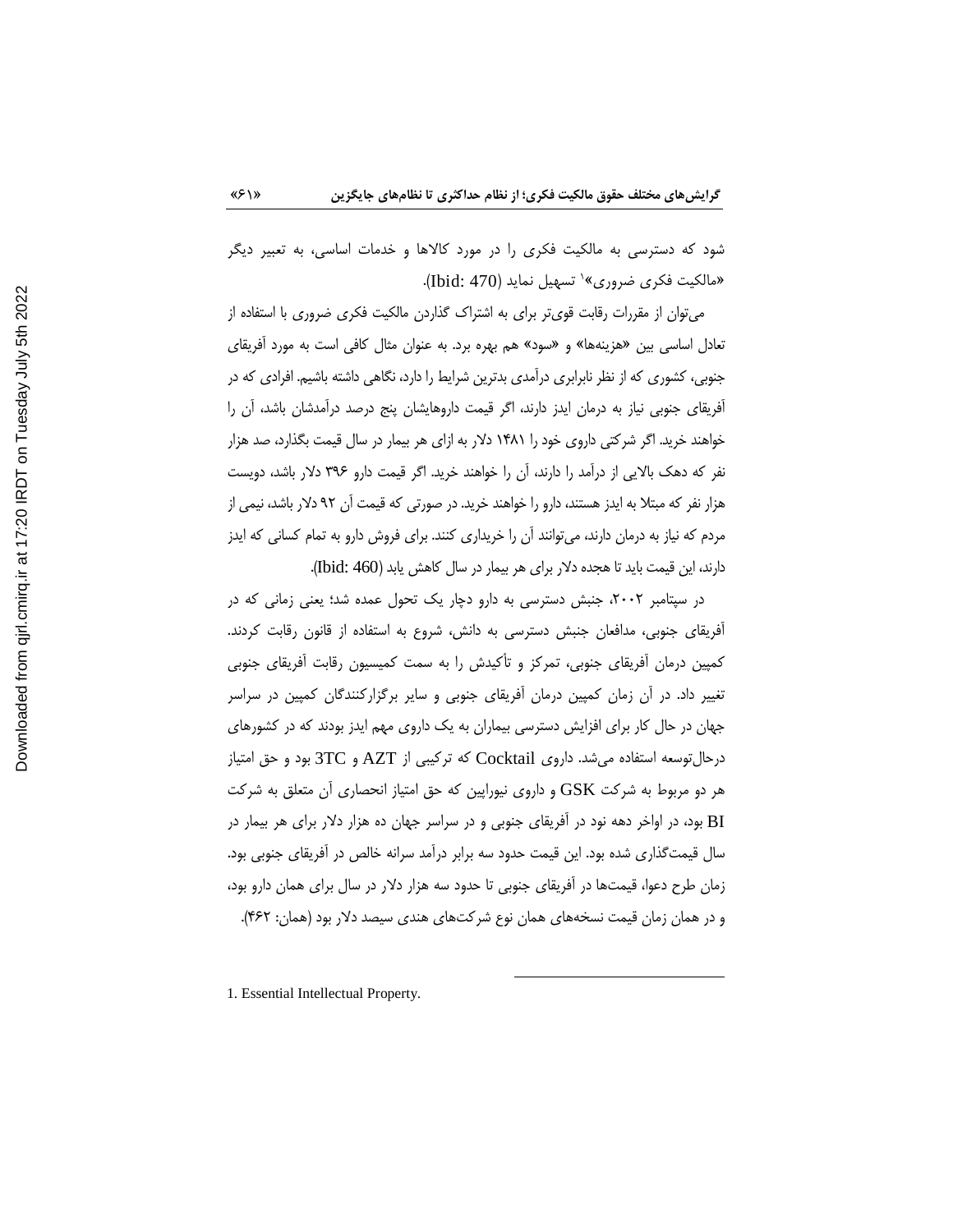شود که دسترسی به مالکیت فکری را در مورد کالاها و خدمات اساسی، به تعبیر دیگر «مالكيت فكرى ضرورى»` تسهيل نمايد (Ibid: 470).

میتوان از مقررات رقابت قویتر برای به اشتراک گذاردن مالکیت فکری ضروری با استفاده از تعادل اساسی بین «هزینهها» و «سود» هم بهره برد. به عنوان مثال کافی است به مورد آفریقای جنوبی، کشوری که از نظر نابرابری درآمدی بدترین شرایط را دارد، نگاهی داشته باشیم. افرادی که در آفریقای جنوبی نیاز به درمان ایدز دارند، اگر قیمت داروهایشان پنج درصد درآمدشان باشد، آن را خواهند خرید. اگر شرکتی داروی خود را ۱۴۸۱ دلار به ازای هر بیمار در سال قیمت بگذارد، صد هزار نفر که دهک بالایی از درآمد را دارند، آن را خواهند خرید. اگر قیمت دارو ۳۹۶ دلار باشد، دویست هزار نفر که مبتلا به ایدز هستند، دارو را خواهند خرید. در صورتی که قیمت آن ۹۲ دلار باشد، نیمی از مردم که نیاز به درمان دارند، می توانند آن را خریداری کنند. برای فروش دارو به تمام کسانی که ایدز دارند، این قیمت باید تا هجده دلار برای هر بیمار در سال کاهش یابد (Ibid: 460).

در سیتامبر ۲۰۰۲، جنبش دسترسی به دارو دچار یک تحول عمده شد؛ یعنی زمانی که در افریقای جنوبی، مدافعان جنبش دسترسی به دانش، شروع به استفاده از قانون رقابت کردند. کمپین درمان آفریقای جنوبی، تمرکز و تأکیدش را به سمت کمیسیون رقابت آفریقای جنوبی تغییر داد. در آن زمان کمپین درمان آفریقای جنوبی و سایر برگزارکنندگان کمپین در سراسر جهان در حال کار برای افزایش دسترسی بیماران به یک داروی مهم ایدز بودند که در کشورهای درحالتوسعه استفاده میشد. داروی Cocktail که ترکیبی از AZT و 3TC بود و حق امتیاز هر دو مربوط به شرکت GSK و داروی نیوراپین که حق امتیاز انحصاری آن متعلق به شرکت BI بود، در اواخر دهه نود در آفریقای جنوبی و در سراسر جهان ده هزار دلار برای هر بیمار در سال قیمتگذاری شده بود. این قیمت حدود سه برابر درآمد سرانه خالص در آفریقای جنوبی بود. زمان طرح دعوا، قیمتها در آفریقای جنوبی تا حدود سه هزار دلار در سال برای همان دارو بود، و در همان زمان قیمت نسخههای همان نوع شرکتهای هندی سیصد دلار بود (همان: ۴۶۲).

<sup>1.</sup> Essential Intellectual Property.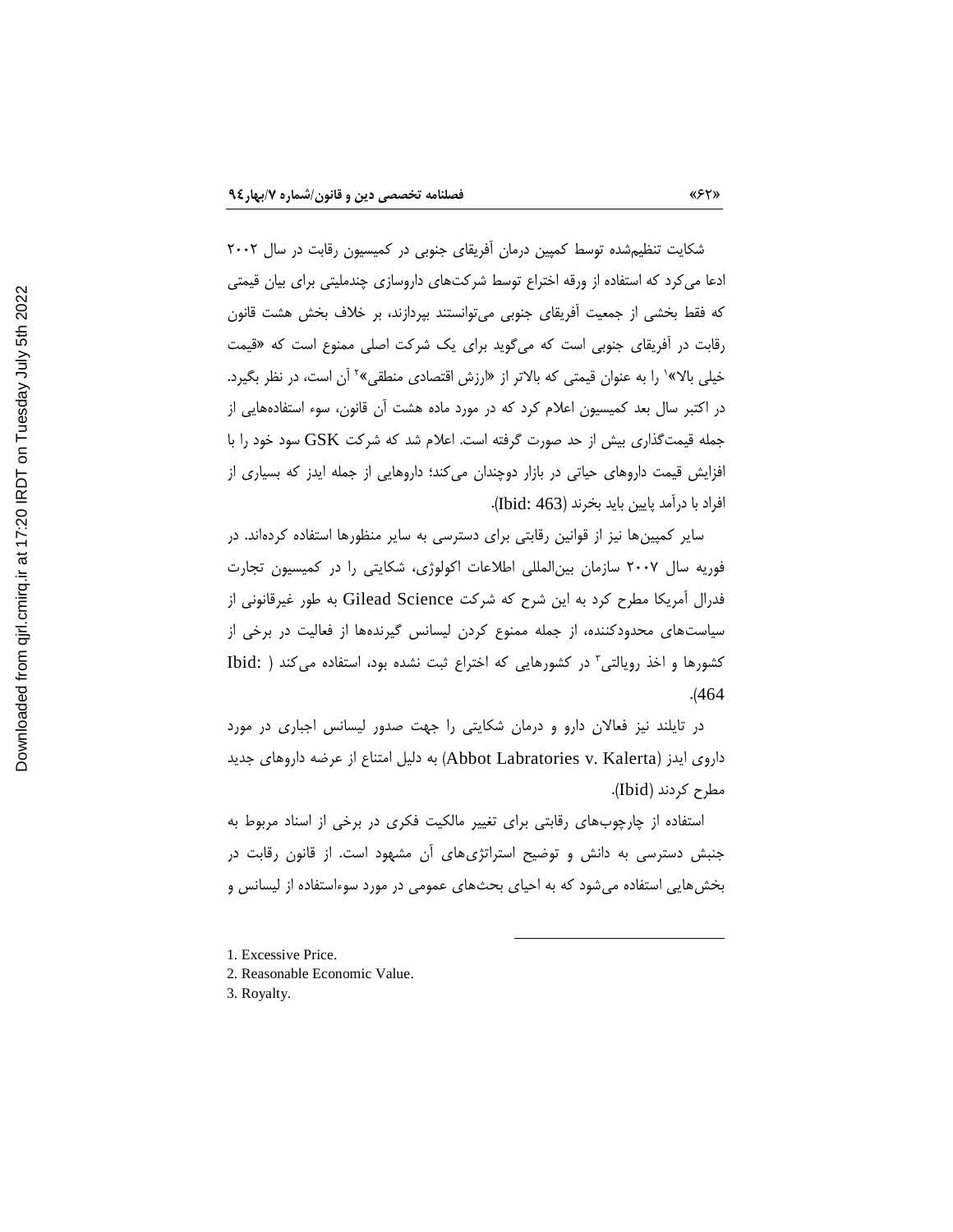شکایت تنظیم٬شده توسط کمپین درمان آفریقای جنوبی در کمیسیون رقابت در سال ۲۰۰۲ ادعا میکرد که استفاده از ورقه اختراع توسط شرکتهای داروسازی چندملیتی برای بیان قیمتی كه فقط بخشى از جمعيت أفريقاى جنوبى مىتوانستند بپردازند، بر خلاف بخش هشت قانون , قابت در آفریقای جنوبی است که میگوید برای یک شرکت اصلی ممنوع است که «قیمت خیلی بالا»' را به عنوان قیمتی که بالاتر از «ارزش اقتصادی منطقی»<sup>۲</sup> آن است، در نظر بگیرد. در اکتبر سال بعد کمیسیون اعلام کرد که در مورد ماده هشت آن قانون، سوء استفادههایی از جمله قیمتگذاری بیش از حد صورت گرفته است. اعلام شد که شرکت GSK سود خود را با افزایش قیمت داروهای حیاتی در بازار دوچندان میکند؛ داروهایی از جمله ایدز که بسیاری از افراد با درآمد پايين بايد بخرند (Ibid: 463).

سایر کمپین ها نیز از قوانین رقابتی برای دسترسی به سایر منظورها استفاده کردهاند. در فوریه سال ۲۰۰۷ سازمان بین|لمللی اطلاعات اکولوژی، شکایتی را در کمیسیون تجارت فدرال آمریکا مطرح کرد به این شرح که شرکت Gilead Science به طور غیرقانونی از سیاستهای محدودکننده، از جمله ممنوع کردن لیسانس گیرندهها از فعالیت در برخی از کشورها و اخذ رویالتی<sup>۳</sup> در کشورهایی که اختراع ثبت نشده بود، استفاده میکند ( .Ibid .(464

در تایلند نیز فعالان دارو و درمان شکایتی را جهت صدور لیسانس اجباری در مورد داروی ایدز (Abbot Labratories v. Kalerta) به دلیل امتناع از عرضه داروهای جدید مطرح كردند (Ibid).

استفاده از چارچوبهای رقابتی برای تغییر مالکیت فکری در برخی از اسناد مربوط به جنبش دسترسی به دانش و توضیح استراتژیهای آن مشهود است. از قانون رقابت در بخش هایی استفاده می شود که به احیای بحثهای عمومی در مورد سوءاستفاده از لیسانس و

l,

- 2. Reasonable Economic Value.
- 3. Royalty.

<sup>1.</sup> Excessive Price.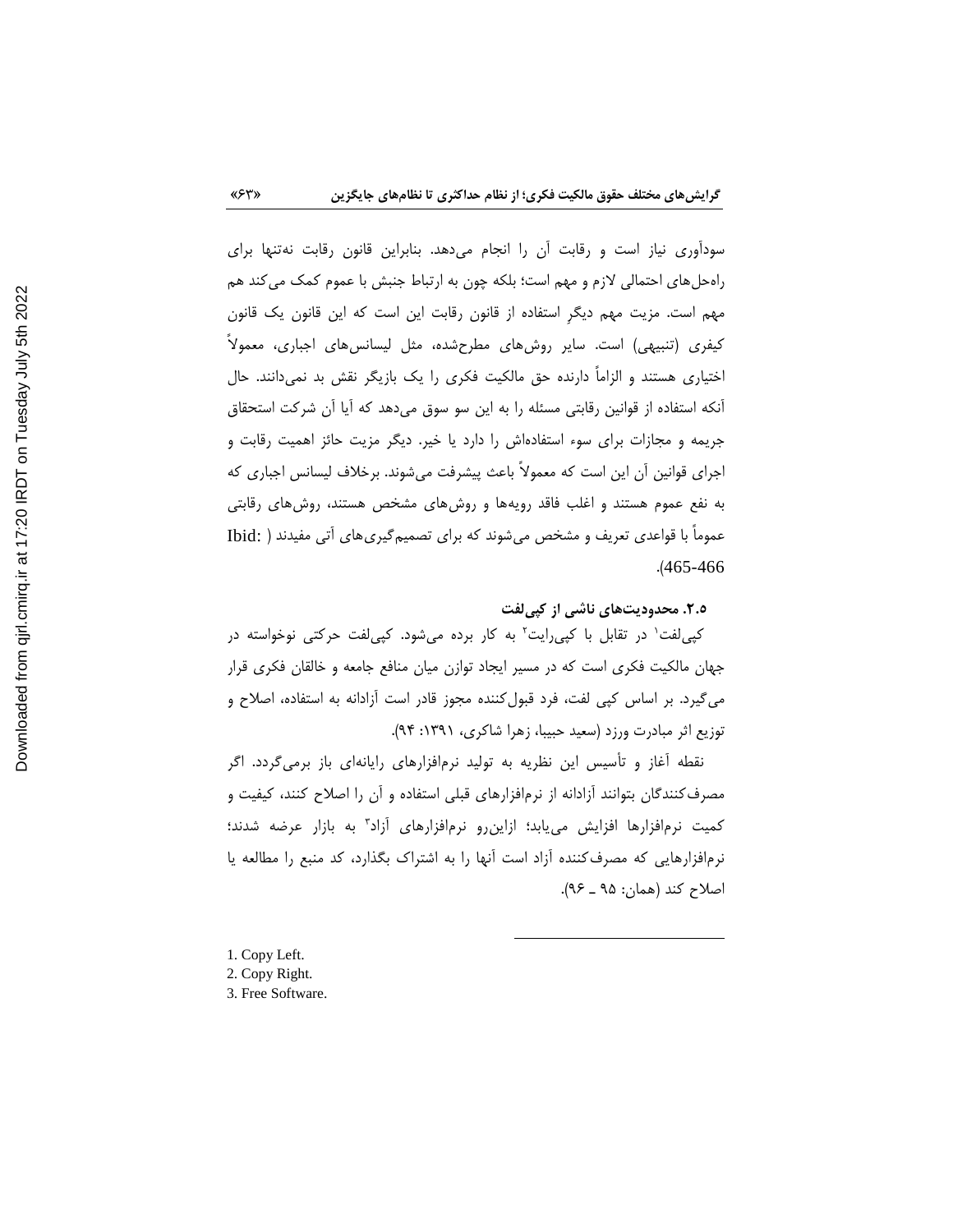سودآوری نیاز است و رقابت آن را انجام میدهد. بنابراین قانون رقابت نهتنها برای راه حل های احتمالی لازم و مهم است؛ بلکه چون به ارتباط جنبش با عموم کمک می کند هم مهم است. مزیت مهم دیگر استفاده از قانون رقابت این است که این قانون یک قانون کیفری (تنبیهی) است. سایر روش،های مطرحشده، مثل لیسانس،های اجباری، معمولاً اختیاری هستند و الزاماً دارنده حق مالکیت فکری را یک بازیگر نقش بد نمیدانند. حال أنكه استفاده از قوانين رقابتي مسئله را به اين سو سوق ميدهد كه أيا أن شركت استحقاق جریمه و مجازات برای سوء استفادهاش را دارد یا خیر. دیگر مزیت حائز اهمیت رقابت و اجرای قوانین آن این است که معمولاً باعث پیشرفت می شوند. برخلاف لیسانس اجباری که به نفع عموم هستند و اغلب فاقد رویهها و روشهای مشخص هستند، روشهای رقابتی عموماً با قواعدی تعریف و مشخص می شوند که برای تصمیم گیری های آتی مفیدند ( .Ibid  $.465 - 466$ 

٢.٥. محدودیتهای ناشی از کییلفت

کیے لفت<sup>י</sup> در تقابل با کیے رایت<sup>۲</sup> به کار برده می شود. کیے لفت حرکتی نوخواسته در جهان مالکیت فکری است که در مسیر ایجاد توازن میان منافع جامعه و خالقان فکری قرار می گیرد. بر اساس کپی لفت، فرد قبول کننده مجوز قادر است آزادانه به استفاده، اصلاح و توزيع اثر مبادرت ورزد (سعيد حبيبا، زهرا شاكرى، ١٣٩١: ٩۴).

نقطه آغاز و تأسیس این نظریه به تولید نرمافزارهای رایانهای باز برمی گردد. اگر مصرف کنندگان بتوانند آزادانه از نرمافزارهای قبلی استفاده و آن را اصلاح کنند، کیفیت و كميت نرم افزارها افزايش مى يابد؛ ازاين رو نرم افزارهاى آزاد<sup>؟</sup> به بازار عرضه شدند؛ نرمافزارهایی که مصرف کننده آزاد است آنها را به اشتراک بگذارد، کد منبع را مطالعه یا اصلاح كند (همان: ٩٥ ـ ٩۶).

1. Copy Left.

«۶۳»

- 2. Copy Right.
- 3. Free Software.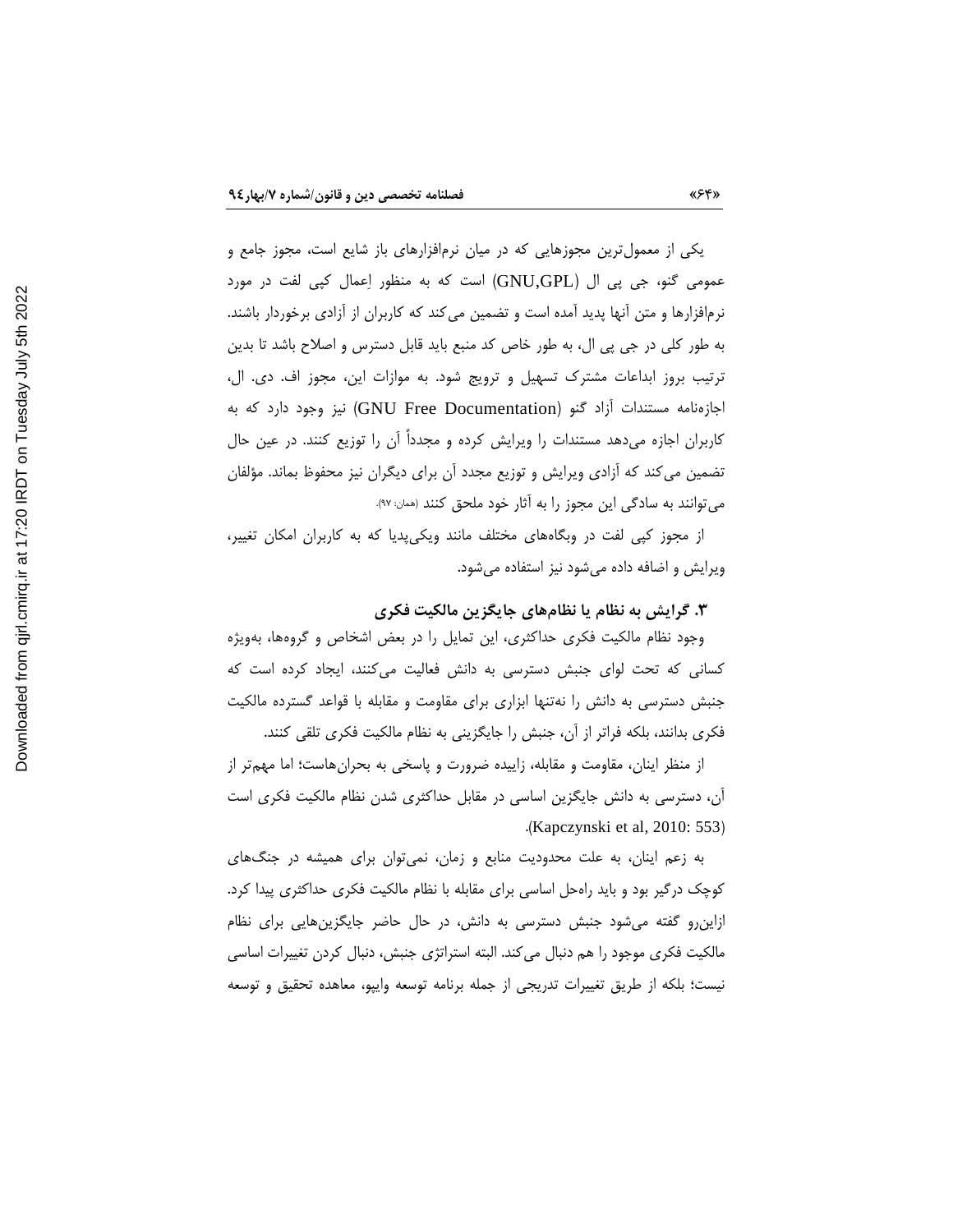یکی از معمول ترین مجوزهایی که در میان نرمافزارهای باز شایع است، مجوز جامع و عمومی گنو، جی پی ال (GNU,GPL) است که به منظور اِعمال کپی لفت در مورد نرم|فزارها و متن أنها پدید أمده است و تضمین می کند که کاربران از آزادی برخوردار باشند. به طور کلی در جی پی ال، به طور خاص کد منبع باید قابل دسترس و اصلاح باشد تا بدین ترتيب بروز ابداعات مشترك تسهيل وترويج شود. به موازات اين، مجوز اف. دى. ال، اجازهنامه مستندات أزاد گنو (GNU Free Documentation) نیز وجود دارد که به کاربران اجازه می دهد مستندات را ویرایش کرده و مجدداً آن را توزیع کنند. در عین حال تضمین می کند که آزادی ویرایش و توزیع مجدد آن برای دیگران نیز محفوظ بماند. مؤلفان می توانند به سادگی این مجوز را به آثار خود ملحق کنند (همان: ۹۷).

از مجوز کپی لفت در وبگاههای مختلف مانند ویکی پدیا که به کاربران امکان تغییر، ویرایش و اضافه داده میشود نیز استفاده میشود.

## ۳. گرایش به نظام یا نظامهای جایگزین مالکیت فکری

وجود نظام مالکیت فکری حداکثری، این تمایل را در بعض اشخاص و گروهها، بهویژه کسانی که تحت لوای جنبش دسترسی به دانش فعالیت میکنند، ایجاد کرده است که جنبش دسترسی به دانش را نهتنها ابزاری برای مقاومت و مقابله با قواعد گسترده مالکیت فکری بدانند، بلکه فراتر از آن، جنبش را جایگزینی به نظام مالکیت فکری تلقی کنند.

از منظر اینان، مقاومت و مقابله، زاییده ضرورت و پاسخی به بحران هاست؛ اما مهمتر از آن، دسترسی به دانش جایگزین اساسی در مقابل حداکثری شدن نظام مالکیت فکری است .(Kapczynski et al, 2010: 553)

به زعم اینان، به علت محدودیت منابع و زمان، نمی توان برای همیشه در جنگهای کوچک درگیر بود و باید راهحل اساسی برای مقابله با نظام مالکیت فکری حداکثری پیدا کرد. ازاین رو گفته می شود جنبش دسترسی به دانش، در حال حاضر جایگزین هایی برای نظام مالکیت فکری موجود را هم دنبال می کند. البته استراتژی جنبش، دنبال کردن تغییرات اساسی نيست؛ بلكه از طريق تغييرات تدريجي از جمله برنامه توسعه وايپو، معاهده تحقيق و توسعه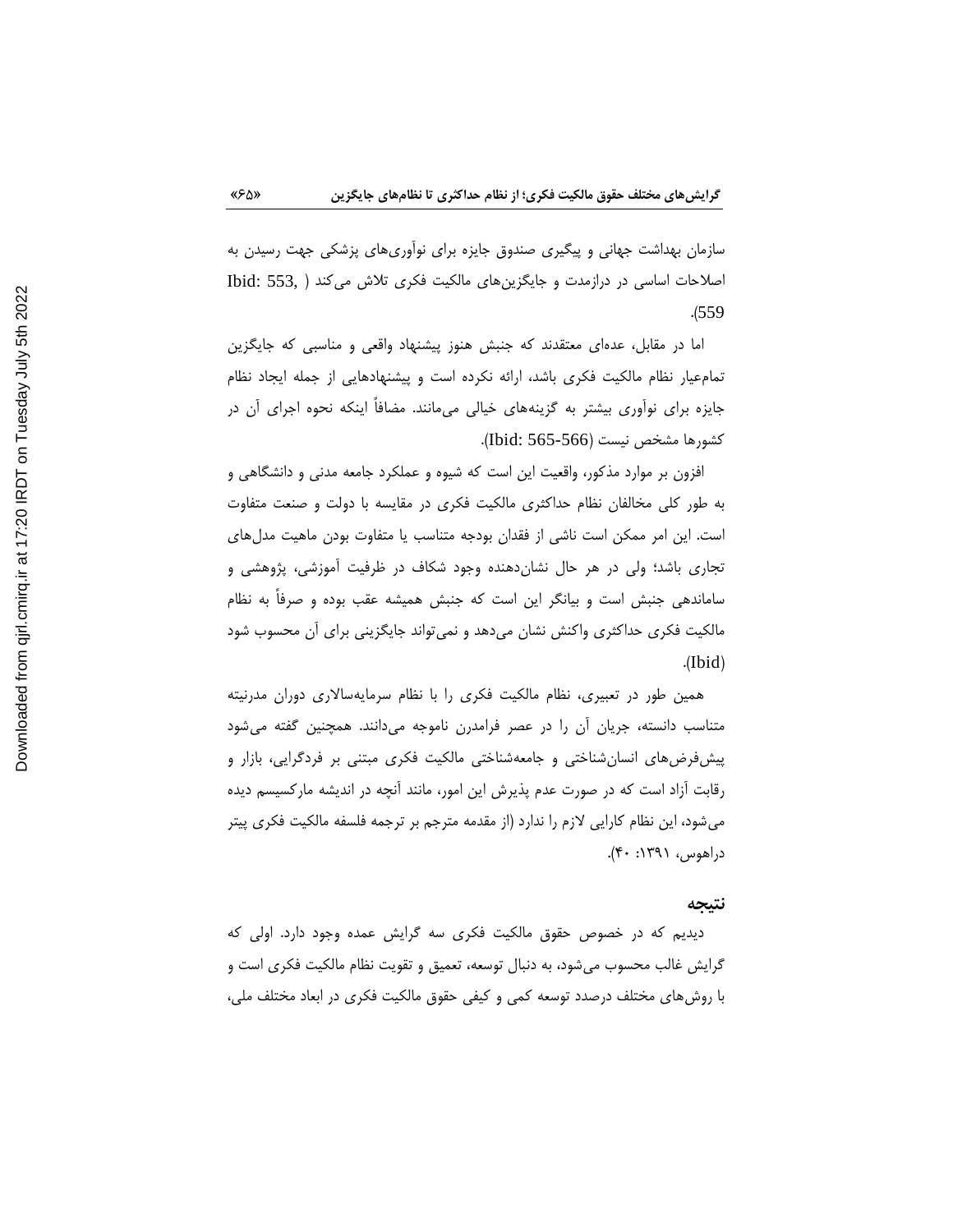سازمان بهداشت جهانی و پیگیری صندوق جایزه برای نوآوریهای پزشکی جهت رسیدن به اصلاحات اساسی در درازمدت و جایگزین های مالکیت فکری تلاش می کند ( ,Ibid: 553  $.559$ 

اما در مقابل، عدهای معتقدند که جنبش هنوز پیشنهاد واقعی و مناسبی که جایگزین تمامءیار نظام مالکیت فکری باشد، ارائه نکرده است و پیشنهادهایی از جمله ایجاد نظام جایزه برای نوأوری بیشتر به گزینههای خیالی میمانند. مضافاً اینکه نحوه اجرای أن در كشورها مشخص نيست (Ibid: 565-566).

افزون بر موارد مذکور، واقعیت این است که شیوه و عملکرد جامعه مدنی و دانشگاهی و به طور کلی مخالفان نظام حداکثری مالکیت فکری در مقایسه با دولت و صنعت متفاوت است. این امر ممکن است ناشی از فقدان بودجه متناسب یا متفاوت بودن ماهیت مدل های تجاری باشد؛ ولی در هر حال نشانِدهنده وجود شکاف در ظرفیت آموزشی، پژوهشی و ساماندهی جنبش است و بیانگر این است که جنبش همیشه عقب بوده و صرفاً به نظام مالکیت فکری حداکثری واکنش نشان میدهد و نمی¤واند جایگزینی برای آن محسوب شود  $(Ibid)$ 

همین طور در تعبیری، نظام مالکیت فکری را با نظام سرمایهسالاری دوران مدرنیته متناسب دانسته، جریان آن را در عصر فرامدرن ناموجه میدانند. همچنین گفته می شود پیشفرضهای انسانشناختی و جامعهشناختی مالکیت فکری مبتنی بر فردگرایی، بازار و رقابت آزاد است که در صورت عدم پذیرش این امور، مانند آنچه در اندیشه مارکسیسم دیده میشود، این نظام کارایی لازم را ندارد (از مقدمه مترجم بر ترجمه فلسفه مالکیت فکری پیتر دراهوس، ۱۳۹۱: ۴۰).

#### نتيجه

دیدیم که در خصوص حقوق مالکیت فکری سه گرایش عمده وجود دارد. اولی که گرایش غالب محسوب میشود، به دنبال توسعه، تعمیق و تقویت نظام مالکیت فکری است و با روشهای مختلف درصدد توسعه کمی و کیفی حقوق مالکیت فکری در ابعاد مختلف ملی،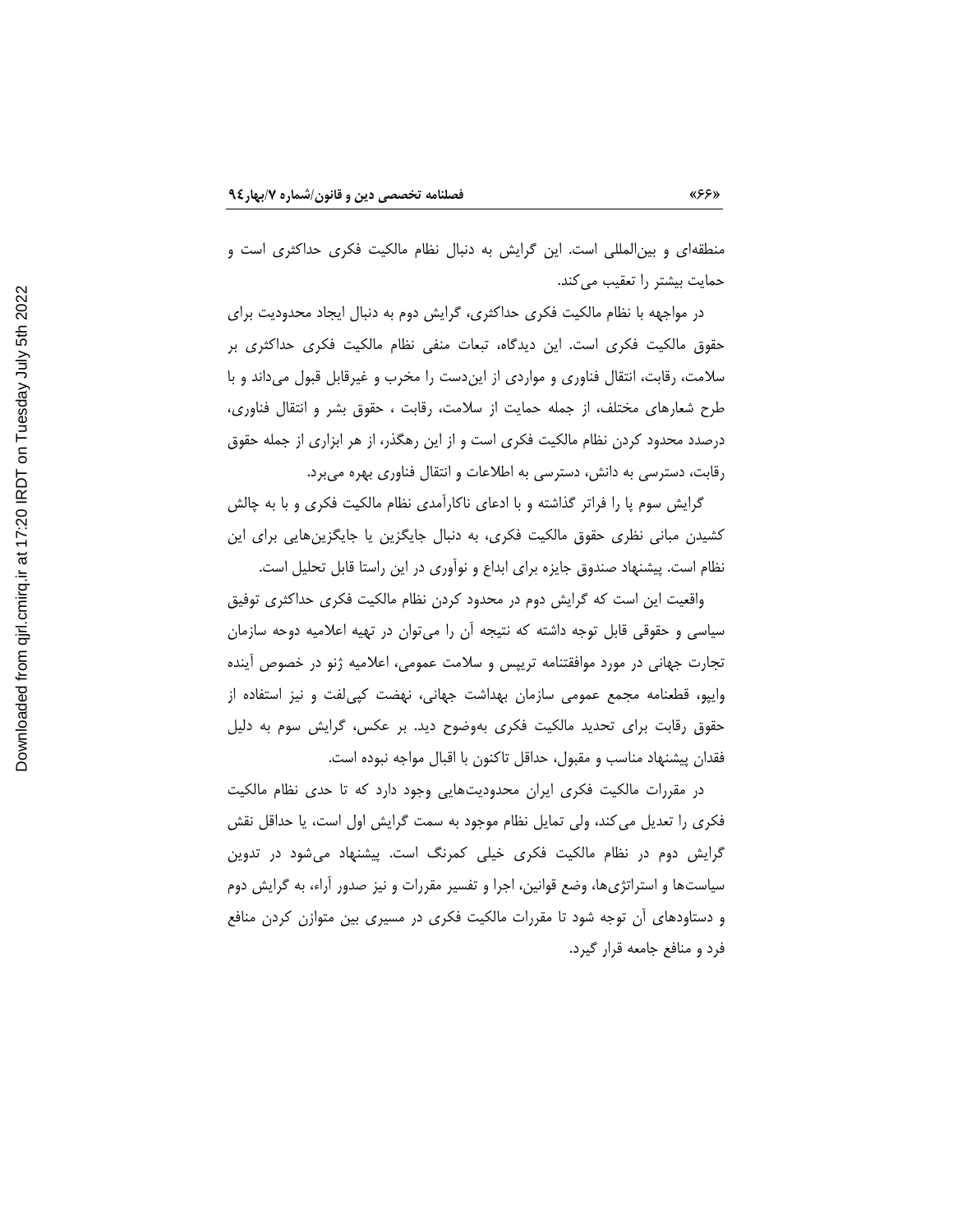منطقهای و بین|لمللی است. این گرایش به دنبال نظام مالکیت فکری حداکثری است و حمایت بیشتر را تعقیب میكند.

در مواجهه با نظام مالکیت فکری حداکثری، گرایش دوم به دنبال ایجاد محدودیت برای حقوق مالکیت فکری است. این دیدگاه، تبعات منفی نظام مالکیت فکری حداکثری بر سلامت، رقابت، انتقال فناوري و مواردي از اين‹ست را مخرب و غيرقابل قبول مي‹اند و با طرح شعارهای مختلف، از جمله حمایت از سلامت، رقابت ، حقوق بشر و انتقال فناوری، درصدد محدود کردن نظام مالکیت فکری است و از این رهگذر، از هر ابزاری از جمله حقوق رقابت، دسترسی به دانش، دسترسی به اطلاعات و انتقال فناوری بهره می برد.

گرایش سوم پا را فراتر گذاشته و با ادعای ناکارآمدی نظام مالکیت فکری و با به چالش کشیدن مبانی نظری حقوق مالکیت فکری، به دنبال جایگزین ای پاین وای این نظام است. پیشنهاد صندوق جایزه برای ابداع و نوآوری در این راستا قابل تحلیل است.

واقعیت این است که گرایش دوم در محدود کردن نظام مالکیت فکری حداکثری توفیق سیاسی و حقوقی قابل توجه داشته که نتیجه آن را میتوان در تهیه اعلامیه دوحه سازمان تجارت جهانی در مورد موافقتنامه تریپس و سلامت عمومی، اعلامیه ژنو در خصوص آینده وایپو، قطعنامه مجمع عمومی سازمان بهداشت جهانی، نهضت کپی لفت و نیز استفاده از حقوق رقابت برای تحدید مالکیت فکری بهوضوح دید. بر عکس، گرایش سوم به دلیل فقدان پیشنهاد مناسب و مقبول، حداقل تاکنون با اقبال مواجه نبوده است.

در مقررات مالکیت فکری ایران محدودیتهایی وجود دارد که تا حدی نظام مالکیت فکری را تعدیل می کند، ولی تمایل نظام موجود به سمت گرایش اول است، یا حداقل نقش گرایش دوم در نظام مالکیت فکری خیلی کمرنگ است. پیشنهاد میشود در تدوین سیاستها و استراتژیها، وضع قوانین، اجرا و تفسیر مقررات و نیز صدور آراء، به گرایش دوم و دستاودهای آن توجه شود تا مقررات مالکیت فکری در مسیری بین متوازن کردن منافع فرد و منافع جامعه قرار گیرد.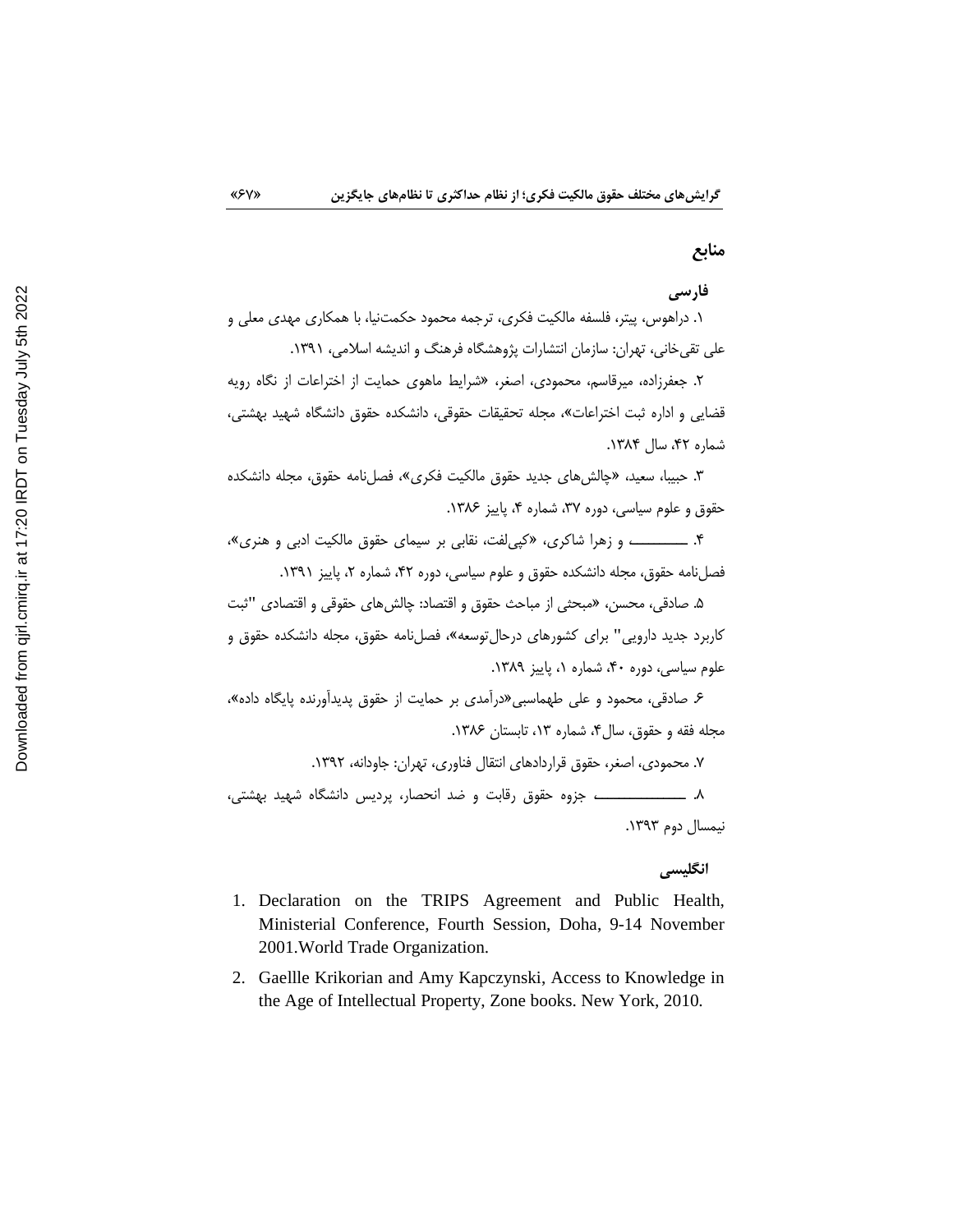## منابع

## فارسي

١. دراهوس، پيتر، فلسفه مالكيت فكرى، ترجمه محمود حكمتنيا، با همكارى مهدى معلى و علی تقی خانی، تهران: سازمان انتشارات پژوهشگاه فرهنگ و اندیشه اسلامی، ۱۳۹۱.

۲. جعفرزاده، میرقاسم، محمودی، اصغر، «شرایط ماهوی حمایت از اختراعات از نگاه رویه قضایی و اداره ثبت اختراعات»، مجله تحقیقات حقوقی، دانشکده حقوق دانشگاه شهید بهشتی، شماره ۴۲، سال ۱۳۸۴.

۳. حبیبا، سعید، «چالش های جدید حقوق مالکیت فکری»، فصل نامه حقوق، مجله دانشکده حقوق و علوم سیاسی، دوره ۳۷، شماره ۴، پاییز ۱۳۸۶.

فصل نامه حقوق، مجله دانشكده حقوق و علوم سياسي، دوره ۴۲، شماره ٢، پاييز ١٣٩١.

۵. صادقی، محسن، «مبحثی از مباحث حقوق و اقتصاد: چالش های حقوقی و اقتصادی "ثبت کاربرد جدید دارویی" برای کشورهای درحال توسعه»، فصلنامه حقوق، مجله دانشکده حقوق و علوم سياسي، دوره ۴۰، شماره ١، پاييز ١٣٨٩.

۶. صادقی، محمود و علی طهماسبی«درآمدی بر حمایت از حقوق پدیدآورنده پایگاه داده»، مجله فقه و حقوق، سال ۴، شماره ۱۳، تابستان ۱۳۸۶.

۷. محمودی، اصغر، حقوق قراردادهای انتقال فناوری، تهران: جاودانه، ۱۳۹۲.

٨. \_\_\_\_\_\_\_\_\_\_\_\_\_\_، جزوه حقوق رقابت و ضد انحصار، پردیس دانشگاه شهید بهشتی، نيمسال دوم ١٣٩٣.

انگلیسی

- 1. Declaration on the TRIPS Agreement and Public Health, Ministerial Conference, Fourth Session, Doha, 9-14 November 2001. World Trade Organization.
- 2. Gaellle Krikorian and Amy Kapczynski, Access to Knowledge in the Age of Intellectual Property, Zone books. New York, 2010.

Downloaded from qjrl.cmirq.ir at 17:20 IRDT on Tuesday July 5th 2022